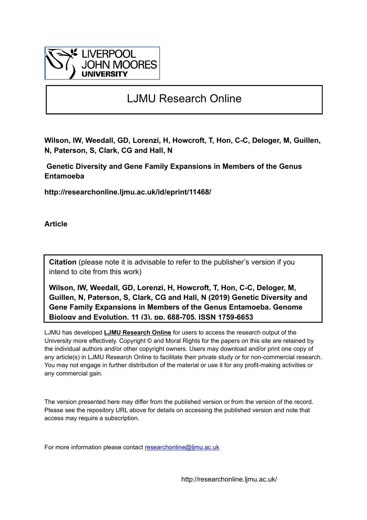

# LJMU Research Online

**Wilson, IW, Weedall, GD, Lorenzi, H, Howcroft, T, Hon, C-C, Deloger, M, Guillen, N, Paterson, S, Clark, CG and Hall, N**

 **Genetic Diversity and Gene Family Expansions in Members of the Genus Entamoeba**

**http://researchonline.ljmu.ac.uk/id/eprint/11468/**

**Article**

**Citation** (please note it is advisable to refer to the publisher's version if you intend to cite from this work)

**Wilson, IW, Weedall, GD, Lorenzi, H, Howcroft, T, Hon, C-C, Deloger, M, Guillen, N, Paterson, S, Clark, CG and Hall, N (2019) Genetic Diversity and Gene Family Expansions in Members of the Genus Entamoeba. Genome Biology and Evolution, 11 (3). pp. 688-705. ISSN 1759-6653** 

LJMU has developed **[LJMU Research Online](http://researchonline.ljmu.ac.uk/)** for users to access the research output of the University more effectively. Copyright © and Moral Rights for the papers on this site are retained by the individual authors and/or other copyright owners. Users may download and/or print one copy of any article(s) in LJMU Research Online to facilitate their private study or for non-commercial research. You may not engage in further distribution of the material or use it for any profit-making activities or any commercial gain.

The version presented here may differ from the published version or from the version of the record. Please see the repository URL above for details on accessing the published version and note that access may require a subscription.

For more information please contact researchonline@limu.ac.uk

http://researchonline.ljmu.ac.uk/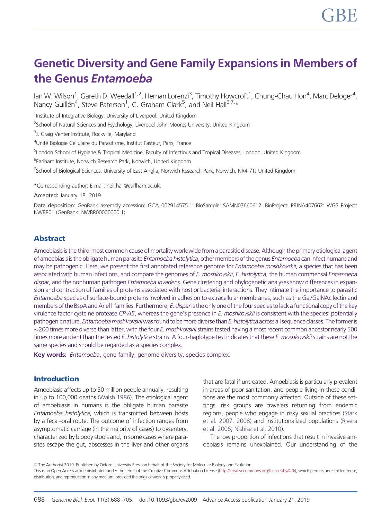# Genetic Diversity and Gene Family Expansions in Members of the Genus Entamoeba

lan W. Wilson<sup>1</sup>, Gareth D. Weedall<sup>1,2</sup>, Hernan Lorenzi<sup>3</sup>, Timothy Howcroft<sup>1</sup>, Chung-Chau Hon<sup>4</sup>, Marc Deloger<sup>4</sup>, Nancy Guillén<sup>4</sup>, Steve Paterson<sup>1</sup>, C. Graham Clark<sup>5</sup>, and Neil Hall<sup>6,7,</sup>\*

<sup>1</sup>Institute of Integrative Biology, University of Liverpool, United Kingdom

<sup>2</sup>School of Natural Sciences and Psychology, Liverpool John Moores University, United Kingdom

<sup>3</sup>J. Craig Venter Institute, Rockville, Maryland

<sup>4</sup>Unité Biologie Cellulaire du Parasitisme, Institut Pasteur, Paris, France

5 London School of Hygiene & Tropical Medicine, Faculty of Infectious and Tropical Diseases, London, United Kingdom

6 Earlham Institute, Norwich Research Park, Norwich, United Kingdom

<sup>7</sup>School of Biological Sciences, University of East Anglia, Norwich Research Park, Norwich, NR4 7TJ United Kingdom

\*Corresponding author: E-mail: neil.hall@earlham.ac.uk.

Accepted: January 18, 2019

Data deposition: GenBank assembly accession: GCA\_002914575.1: BioSample: SAMN07660612: BioProject: PRJNA407662: WGS Project: NWBR01 (GenBank: NWBR00000000.1).

# Abstract

Amoebiasis is the third-most common cause of mortality worldwide from a parasitic disease. Although the primary etiological agent of amoebiasis is the obligate human parasite Entamoeba histolytica, other members of the genus Entamoeba can infect humans and may be pathogenic. Here, we present the first annotated reference genome for *Entamoeba moshkovskii*, a species that has been associated with human infections, and compare the genomes of E. moshkovskii, E. histolytica, the human commensal Entamoeba dispar, and the nonhuman pathogen *Entamoeba invadens*. Gene clustering and phylogenetic analyses show differences in expansion and contraction of families of proteins associated with host or bacterial interactions. They intimate the importance to parasitic Entamoeba species of surface-bound proteins involved in adhesion to extracellular membranes, such as the Gal/GalNAc lectin and members of the BspA and Ariel1 families. Furthermore, E. dispar is the only one of the four species to lack a functional copy of the key virulence factor cysteine protease CP-A5, whereas the gene's presence in  $E$ . moshkovskii is consistent with the species' potentially pathogenic nature. Entamoeba moshkovskii was found to be more diverse than E. histolytica across all sequence classes. The former is  $\sim$ 200 times more diverse than latter, with the four *E. moshkovskii* strains tested having a most recent common ancestor nearly 500 times more ancient than the tested E. histolytica strains. A four-haplotype test indicates that these E. moshkovskii strains are not the same species and should be regarded as a species complex.

Key words: Entamoeba, gene family, genome diversity, species complex.

#### Introduction

Amoebiasis affects up to 50 million people annually, resulting in up to 100,000 deaths [\(Walsh 1986\)](#page-18-0). The etiological agent of amoebiasis in humans is the obligate human parasite Entamoeba histolytica, which is transmitted between hosts by a fecal–oral route. The outcome of infection ranges from asymptomatic carriage (in the majority of cases) to dysentery, characterized by bloody stools and, in some cases where parasites escape the gut, abscesses in the liver and other organs

that are fatal if untreated. Amoebiasis is particularly prevalent in areas of poor sanitation, and people living in these conditions are the most commonly affected. Outside of these settings, risk groups are travelers returning from endemic regions, people who engage in risky sexual practices [\(Stark](#page-17-0) [et al. 2007, 2008\)](#page-17-0) and institutionalized populations ([Rivera](#page-17-0) [et al. 2006;](#page-17-0) [Nishise et al. 2010\)](#page-17-0).

The low proportion of infections that result in invasive amoebiasis remains unexplained. Our understanding of the

<sup>©</sup> The Author(s) 2019. Published by Oxford University Press on behalf of the Society for Molecular Biology and Evolution. This is an Open Access article distributed under the terms of the Creative Commons Attribution License ([http://creativecommons.org/licenses/by/4.0/\)](http://creativecommons.org/licenses/by/4.0/), which permits unrestricted reuse, distribution, and reproduction in any medium, provided the original work is properly cited.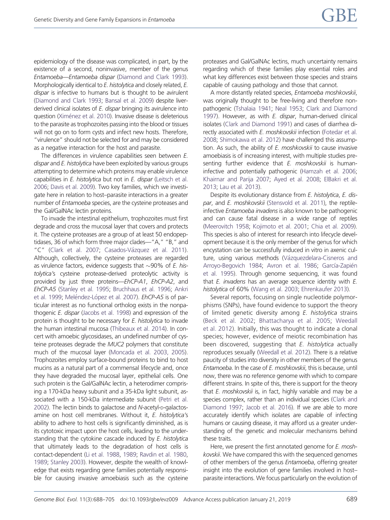epidemiology of the disease was complicated, in part, by the existence of a second, noninvasive, member of the genus Entamoeba—Entamoeba dispar [\(Diamond and Clark 1993](#page-16-0)). Morphologically identical to E. histolytica and closely related, E. dispar is infective to humans but is thought to be avirulent [\(Diamond and Clark 1993;](#page-16-0) [Bansal et al. 2009](#page-15-0)) despite liverderived clinical isolates of E. dispar bringing its avirulence into question [\(Xim](#page-18-0)é[nez et al. 2010\)](#page-18-0). Invasive disease is deleterious to the parasite as trophozoites passing into the blood or tissues will not go on to form cysts and infect new hosts. Therefore, "virulence" should not be selected for and may be considered as a negative interaction for the host and parasite.

The differences in virulence capabilities seen between E. dispar and E. histolytica have been exploited by various groups attempting to determine which proteins may enable virulence capabilities in E. histolytica but not in E. dispar [\(Leitsch et al.](#page-16-0) [2006](#page-16-0); [Davis et al. 2009](#page-16-0)). Two key families, which we investigate here in relation to host–parasite interactions in a greater number of Entamoeba species, are the cysteine proteases and the Gal/GalNAc lectin proteins.

To invade the intestinal epithelium, trophozoites must first degrade and cross the mucosal layer that covers and protects it. The cysteine proteases are a group of at least 50 endopeptidases, 36 of which form three major clades—"A," "B," and "C" ([Clark et al. 2007](#page-16-0); [Casados-V](#page-16-0)ázquez et al. 2011). Although, collectively, the cysteine proteases are regarded as virulence factors, evidence suggests that  $\sim$ 90% of *E. his*tolytica's cysteine protease-derived proteolytic activity is provided by just three proteins—EhCP-A1, EhCP-A2, and EhCP-A5 ([Stanley et al. 1995;](#page-17-0) [Bruchhaus et al. 1996;](#page-16-0) [Ankri](#page-15-0) [et al. 1999](#page-15-0); [Mel](#page-17-0)é[ndez-L](#page-17-0)ó[pez et al. 2007](#page-17-0)). EhCP-A5 is of particular interest as no functional ortholog exists in the nonpathogenic E. dispar ([Jacobs et al. 1998](#page-16-0)) and expression of the protein is thought to be necessary for E. histolytica to invade the human intestinal mucosa [\(Thibeaux et al. 2014\)](#page-18-0). In concert with amoebic glycosidases, an undefined number of cysteine proteases degrade the MUC2 polymers that constitute much of the mucosal layer ([Moncada et al. 2003, 2005](#page-17-0)). Trophozoites employ surface-bound proteins to bind to host mucins as a natural part of a commensal lifecycle and, once they have degraded the mucosal layer, epithelial cells. One such protein is the Gal/GalNAc lectin, a heterodimer comprising a 170-kDa heavy subunit and a 35-kDa light subunit, associated with a 150-kDa intermediate subunit [\(Petri et al.](#page-17-0) [2002](#page-17-0)). The lectin binds to galactose and N-acetyl-p-galactosamine on host cell membranes. Without it, E. histolytica's ability to adhere to host cells is significantly diminished, as is its cytotoxic impact upon the host cells, leading to the understanding that the cytokine cascade induced by E. histolytica that ultimately leads to the degradation of host cells is contact-dependent [\(Li et al. 1988](#page-16-0), [1989](#page-17-0); [Ravdin et al. 1980,](#page-17-0) [1989](#page-17-0); [Stanley 2003\)](#page-17-0). However, despite the wealth of knowledge that exists regarding gene families potentially responsible for causing invasive amoebiasis such as the cysteine

proteases and Gal/GalNAc lectins, much uncertainty remains regarding which of these families play essential roles and what key differences exist between those species and strains capable of causing pathology and those that cannot.

A more distantly related species, Entamoeba moshkovskii, was originally thought to be free-living and therefore nonpathogenic [\(Tshalaia 1941](#page-18-0); [Neal 1953;](#page-17-0) [Clark and Diamond](#page-16-0) [1997\)](#page-16-0). However, as with E. dispar, human-derived clinical isolates ([Clark and Diamond 1991\)](#page-16-0) and cases of diarrhea di-rectly associated with E. moshkovskii infection [\(Fotedar et al.](#page-16-0) [2008;](#page-16-0) [Shimokawa et al. 2012](#page-17-0)) have challenged this assumption. As such, the ability of E. moshkovskii to cause invasive amoebiasis is of increasing interest, with multiple studies presenting further evidence that *E. moshkovskii* is humaninfective and potentially pathogenic [\(Hamzah et al. 2006](#page-16-0); [Khairnar and Parija 2007;](#page-16-0) [Ayed et al. 2008](#page-15-0); [ElBakri et al.](#page-16-0) [2013;](#page-16-0) [Lau et al. 2013\)](#page-16-0).

Despite its evolutionary distance from E. histolytica, E. dis-par, and E. moshkovskii [\(Stensvold et al. 2011](#page-17-0)), the reptileinfective Entamoeba invadens is also known to be pathogenic and can cause fatal disease in a wide range of reptiles [\(Meerovitch 1958](#page-17-0); [Kojimoto et al. 2001](#page-16-0); [Chia et al. 2009\)](#page-16-0). This species is also of interest for research into lifecycle development because it is the only member of the genus for which encystation can be successfully induced in vitro in axenic cul-ture, using various methods [\(V](#page-18-0)á[zquezdelara-Cisneros and](#page-18-0) [Arroyo-Begovich 1984;](#page-18-0) [Avron et al. 1986](#page-15-0); [Garc](#page-16-0)ía-Zapién [et al. 1995\)](#page-16-0). Through genome sequencing, it was found that E. invadens has an average sequence identity with E. histolytica of 60% [\(Wang et al. 2003;](#page-18-0) [Ehrenkaufer 2013](#page-16-0)).

Several reports, focusing on single nucleotide polymorphisms (SNPs), have found evidence to support the theory of limited genetic diversity among E. histolytica strains [\(Beck et al. 2002;](#page-15-0) [Bhattacharya et al. 2005;](#page-15-0) [Weedall](#page-18-0) [et al. 2012\)](#page-18-0). Initially, this was thought to indicate a clonal species; however, evidence of meiotic recombination has been discovered, suggesting that E. histolytica actually reproduces sexually [\(Weedall et al. 2012](#page-18-0)). There is a relative paucity of studies into diversity in other members of the genus Entamoeba. In the case of E. moshkovskii, this is because, until now, there was no reference genome with which to compare different strains. In spite of this, there is support for the theory that E. moshkovskii is, in fact, highly variable and may be a species complex, rather than an individual species [\(Clark and](#page-16-0) [Diamond 1997](#page-16-0); [Jacob et al. 2016](#page-16-0)). If we are able to more accurately identify which isolates are capable of infecting humans or causing disease, it may afford us a greater understanding of the genetic and molecular mechanisms behind these traits.

Here, we present the first annotated genome for E. moshkovskii. We have compared this with the sequenced genomes of other members of the genus Entamoeba, offering greater insight into the evolution of gene families involved in host– parasite interactions. We focus particularly on the evolution of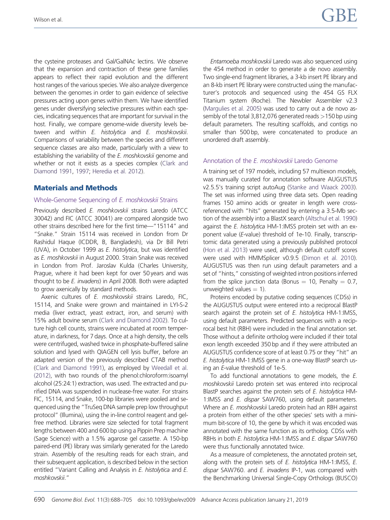the cysteine proteases and Gal/GalNAc lectins. We observe that the expansion and contraction of these gene families appears to reflect their rapid evolution and the different host ranges of the various species. We also analyze divergence between the genomes in order to gain evidence of selective pressures acting upon genes within them. We have identified genes under diversifying selective pressures within each species, indicating sequences that are important for survival in the host. Finally, we compare genome-wide diversity levels between and within E. histolytica and E. moshkovskii. Comparisons of variability between the species and different sequence classes are also made, particularly with a view to establishing the variability of the E. moshkovskij genome and whether or not it exists as a species complex ([Clark and](#page-16-0) [Diamond 1991](#page-16-0), [1997;](#page-16-0) [Heredia et al. 2012](#page-16-0)).

## Materials and Methods

#### Whole-Genome Sequencing of E. moshkovskii Strains

Previously described E. moshkovskii strains Laredo (ATCC 30042) and FIC (ATCC 30041) are compared alongside two other strains described here for the first time—"15114" and "Snake." Strain 15114 was received in London from Dr Rashidul Haque (ICDDR, B, Bangladesh), via Dr Bill Petri (UVA), in October 1999 as E. histolytica, but was identified as E. moshkovskii in August 2000. Strain Snake was received in London from Prof. Jaroslav Kulda (Charles University, Prague, where it had been kept for over 50 years and was thought to be E. invadens) in April 2008. Both were adapted to grow axenically by standard methods.

Axenic cultures of E. moshkovskii strains Laredo, FIC, 15114, and Snake were grown and maintained in LYI-S-2 media (liver extract, yeast extract, iron, and serum) with 15% adult bovine serum [\(Clark and Diamond 2002](#page-16-0)). To culture high cell counts, strains were incubated at room temperature, in darkness, for 7 days. Once at a high density, the cells were centrifuged, washed twice in phosphate-buffered saline solution and lysed with QIAGEN cell lysis buffer, before an adapted version of the previously described CTAB method [\(Clark and Diamond 1991](#page-16-0)), as employed by [Weedall et al.](#page-18-0) [\(2012\),](#page-18-0) with two rounds of the phenol:chloroform:isoamyl alcohol (25:24:1) extraction, was used. The extracted and purified DNA was suspended in nuclease-free water. For strains FIC, 15114, and Snake, 100-bp libraries were pooled and sequenced using the "TruSeq DNA sample prep low throughput protocol" (Illumina), using the in-line control reagent and gelfree method. Libraries were size selected for total fragment lengths between 400 and 600 bp using a Pippin Prep machine (Sage Science) with a 1.5% agarose gel cassette. A 150-bp paired-end (PE) library was similarly generated for the Laredo strain. Assembly of the resulting reads for each strain, and their subsequent application, is described below in the section entitled "Variant Calling and Analysis in E. histolytica and E. moshkovskii."

Entamoeba moshkovskii Laredo was also sequenced using the 454 method in order to generate a de novo assembly. Two single-end fragment libraries, a 3-kb insert PE library and an 8-kb insert PE library were constructed using the manufacturer's protocols and sequenced using the 454 GS FLX Titanium system (Roche). The Newbler Assembler v2.3 [\(Margulies et al. 2005\)](#page-17-0) was used to carry out a de novo assembly of the total 3,812,076 generated reads  $>150$  bp using default parameters. The resulting scaffolds, and contigs no smaller than 500 bp, were concatenated to produce an unordered draft assembly.

#### Annotation of the E. moshkovskii Laredo Genome

A training set of 197 models, including 57 multiexon models, was manually curated for annotation software AUGUSTUS v2.5.5's training script autoAug ([Stanke and Waack 2003\)](#page-17-0). The set was informed using three data sets. Open reading frames 150 amino acids or greater in length were crossreferenced with "hits" generated by entering a 3.5-Mb section of the assembly into a BlastX search [\(Altschul et al. 1990](#page-15-0)) against the E. histolytica HM-1:IMSS protein set with an exponent value (E-value) threshold of 1e-10. Finally, transcriptomic data generated using a previously published protocol [\(Hon et al. 2013](#page-16-0)) were used, although default cutoff scores were used with HMMSplicer v0.9.5 ([Dimon et al. 2010\)](#page-16-0). AUGUSTUS was then run using default parameters and a set of "hints," consisting of weighted intron positions inferred from the splice junction data (Bonus  $= 10$ , Penalty  $= 0.7$ , unweighted values  $= 1$ ).

Proteins encoded by putative coding sequences (CDSs) in the AUGUSTUS output were entered into a reciprocal BlastP search against the protein set of E. histolytica HM-1:IMSS, using default parameters. Predicted sequences with a reciprocal best hit (RBH) were included in the final annotation set. Those without a definite ortholog were included if their total exon length exceeded 350 bp and if they were attributed an AUGUSTUS confidence score of at least 0.75 or they "hit" an E. histolytica HM-1:IMSS gene in a one-way BlastP search using an E-value threshold of 1e-5.

To add functional annotations to gene models, the E. moshkovskii Laredo protein set was entered into reciprocal BlastP searches against the protein sets of E. histolytica HM-1:IMSS and *E. dispar* SAW760, using default parameters. Where an E. moshkovskii Laredo protein had an RBH against a protein from either of the other species' sets with a minimum bit-score of 10, the gene by which it was encoded was annotated with the same function as its ortholog. CDSs with RBHs in both E. histolytica HM-1:IMSS and E. dispar SAW760 were thus functionally annotated twice.

As a measure of completeness, the annotated protein set, along with the protein sets of E. histolytica HM-1:IMSS, E. dispar SAW760. and E. invadens IP-1, was compared with the Benchmarking Universal Single-Copy Orthologs (BUSCO)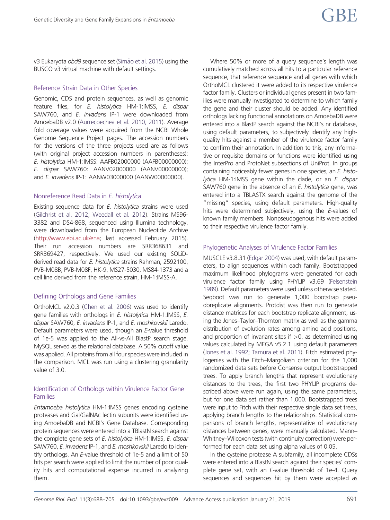v3 Eukaryota obd9 sequence set [\(Sim](#page-17-0)ão et al. 2015) using the BUSCO v3 virtual machine with default settings.

#### Reference Strain Data in Other Species

Genomic, CDS and protein sequences, as well as genomic feature files, for E. histolytica HM-1:IMSS, E. dispar SAW760, and *E. invadens* IP-1 were downloaded from AmoebaDB v2.0 ([Aurrecoechea et al. 2010, 2011](#page-15-0)). Average fold coverage values were acquired from the NCBI Whole Genome Sequence Project pages. The accession numbers for the versions of the three projects used are as follows (with original project accession numbers in parentheses): E. histolytica HM-1:IMSS: AAFB02000000 (AAFB00000000); E. dispar SAW760: AANV02000000 (AANV00000000); and *E. invadens* IP-1: AANW03000000 (AANW00000000).

#### Nonreference Read Data in E. histolytica

Existing sequence data for E. histolytica strains were used [\(Gilchrist et al. 2012;](#page-16-0) [Weedall et al. 2012](#page-18-0)). Strains MS96- 3382 and DS4-868, sequenced using Illumina technology, were downloaded from the European Nucleotide Archive [\(http://www.ebi.ac.uk/ena](http://www.ebi.ac.uk/ena); last accessed February 2015). Their run accession numbers are SRR368631 and SRR369427, respectively. We used our existing SOLiDderived read data for E. histolytica strains Rahman, 2592100, PVB-M08B, PVB-M08F, HK-9, MS27-5030, MS84-1373 and a cell line derived from the reference strain, HM-1:IMSS-A.

#### Defining Orthologs and Gene Families

OrthoMCL v2.0.3 [\(Chen et al. 2006](#page-16-0)) was used to identify gene families with orthologs in E. histolytica HM-1:IMSS, E. dispar SAW760, E. invadens IP-1, and E. moshkovskii Laredo. Default parameters were used, though an E-value threshold of 1e-5 was applied to the All-vs-All BlastP search stage. MySQL served as the relational database. A 50% cutoff value was applied. All proteins from all four species were included in the comparison. MCL was run using a clustering granularity value of 3.0.

#### Identification of Orthologs within Virulence Factor Gene Families

Entamoeba histolytica HM-1:IMSS genes encoding cysteine proteases and Gal/GalNAc lectin subunits were identified using AmoebaDB and NCBI's Gene Database. Corresponding protein sequences were entered into a TBlastN search against the complete gene sets of E. histolytica HM-1:IMSS, E. dispar SAW760, E. invadens IP-1, and E. moshkovskii Laredo to identify orthologs. An E-value threshold of 1e-5 and a limit of 50 hits per search were applied to limit the number of poor quality hits and computational expense incurred in analyzing them.

Where 50% or more of a query sequence's length was cumulatively matched across all hits to a particular reference sequence, that reference sequence and all genes with which OrthoMCL clustered it were added to its respective virulence factor family. Clusters or individual genes present in two families were manually investigated to determine to which family the gene and their cluster should be added. Any identified orthologs lacking functional annotations on AmoebaDB were entered into a BlastP search against the NCBI's nr database, using default parameters, to subjectively identify any highquality hits against a member of the virulence factor family to confirm their annotation. In addition to this, any informative or requisite domains or functions were identified using the InterPro and ProtoNet subsections of UniProt. In groups containing noticeably fewer genes in one species, an E. histolytica HM-1:IMSS gene within the clade, or an  $E$ . dispar SAW760 gene in the absence of an E. histolytica gene, was entered into a TBLASTX search against the genome of the "missing" species, using default parameters. High-quality hits were determined subjectively, using the E-values of known family members. Nonpseudogenous hits were added to their respective virulence factor family.

#### Phylogenetic Analyses of Virulence Factor Families

MUSCLE v3.8.31 [\(Edgar 2004\)](#page-16-0) was used, with default parameters, to align sequences within each family. Bootstrapped maximum likelihood phylograms were generated for each virulence factor family using PHYLIP v3.69 [\(Felsenstein](#page-16-0) [1989\)](#page-16-0). Default parameters were used unless otherwise stated. Seqboot was run to generate 1,000 bootstrap pseudoreplicate alignments. Protdist was then run to generate distance matrices for each bootstrap replicate alignment, using the Jones–Taylor–Thornton matrix as well as the gamma distribution of evolution rates among amino acid positions, and proportion of invariant sites if  $>0$ , as determined using values calculated by MEGA v5.2.1 using default parameters [\(Jones et al. 1992](#page-16-0); [Tamura et al. 2011](#page-18-0)). Fitch estimated phylogenies with the Fitch–Margoliash criterion for the 1,000 randomized data sets before Consense output bootstrapped trees. To apply branch lengths that represent evolutionary distances to the trees, the first two PHYLIP programs described above were run again, using the same parameters, but for one data set rather than 1,000. Bootstrapped trees were input to Fitch with their respective single data set trees, applying branch lengths to the relationships. Statistical comparisons of branch lengths, representative of evolutionary distances between genes, were manually calculated. Mann– Whitney–Wilcoxon tests (with continuity correction) were performed for each data set using alpha values of 0.05.

In the cysteine protease A subfamily, all incomplete CDSs were entered into a BlastN search against their species' complete gene set, with an E-value threshold of 1e-4. Query sequences and sequences hit by them were accepted as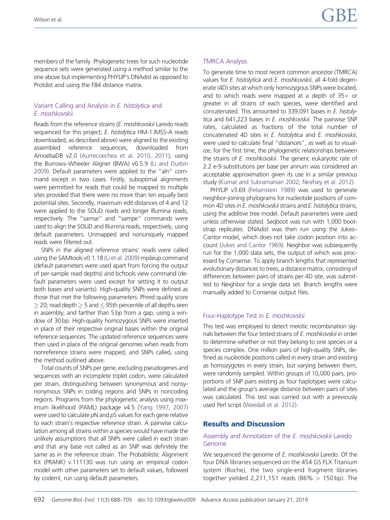members of the family. Phylogenetic trees for such nucleotide sequence sets were generated using a method similar to the one above but implementing PHYLIP's DNAdist as opposed to Protdist and using the F84 distance matrix.

## Variant Calling and Analysis in E. histolytica and E. moshkovskii

Reads from the reference strains (E. moshkovskii Laredo reads sequenced for this project; E. histolytica HM-1:IMSS-A reads downloaded, as described above) were aligned to the existing assembled reference sequences, downloaded from AmoebaDB v2.0 [\(Aurrecoechea et al. 2010, 2011\)](#page-15-0), using the Burrows–Wheeler Aligner (BWA) v0.5.9 [\(Li and Durbin](#page-17-0) [2009](#page-17-0)). Default parameters were applied to the "aln" command except in two cases. Firstly, suboptimal alignments were permitted for reads that could be mapped to multiple sites provided that there were no more than ten equally best potential sites. Secondly, maximum edit distances of 4 and 12 were applied to the SOLiD reads and longer Illumina reads, respectively. The "samse" and "sampe" commands were used to align the SOLiD and Illumina reads, respectively, using default parameters. Unmapped and nonuniquely mapped reads were filtered out.

SNPs in the aligned reference strains' reads were called using the SAMtools v0.1.18 [\(Li et al. 2009](#page-17-0)) mpileup command (default parameters were used apart from forcing the output of per-sample read depths) and bcftools view command (default parameters were used except for setting it to output both bases and variants). High-quality SNPs were defined as those that met the following parameters: Phred quality score  $\geq$  20; read depth  $\geq$  5 and  $\leq$  95th percentile of all depths seen in assembly; and farther than 5 bp from a gap, using a window of 30 bp. High-quality homozygous SNPs were inserted in place of their respective original bases within the original reference sequences. The updated reference sequences were then used in place of the original genomes when reads from nonreference strains were mapped, and SNPs called, using the method outlined above.

Total counts of SNPs per gene, excluding pseudogenes and sequences with an incomplete triplet codon, were calculated per strain, distinguishing between synonymous and nonsynonymous SNPs in coding regions and SNPs in noncoding regions. Programs from the phylogenetic analysis using maximum likelihood (PAML) package v4.5 ([Yang 1997, 2007\)](#page-18-0) were used to calculate pN and pS values for each gene relative to each strain's respective reference strain. A pairwise calculation among all strains within a species would have made the unlikely assumptions that all SNPs were called in each strain and that any base not called as an SNP was definitely the same as in the reference strain. The Probabilistic Alignment Kit (PRANK) v.111130 was run using an empirical codon model with other parameters set to default values, followed by codeml, run using default parameters.

#### TMRCA Analysis

To generate time to most recent common ancestor (TMRCA) values for *E. histolytica* and *E. moshkovskii*, all 4-fold degenerate (4D) sites at which only homozygous SNPs were located, and to which reads were mapped at a depth of  $35\times$  or greater in all strains of each species, were identified and concatenated. This amounted to 339,091 bases in E. histolytica and 641,223 bases in E. moshkovskii. The pairwise SNP rates, calculated as fractions of the total number of concatenated 4D sites in E. histolytica and E. moshkovskii, were used to calculate final "distances", as well as to visualize, for the first time, the phylogenetic relationships between the strains of E. moshkovskii. The generic eukaryotic rate of 2.2 e-9 substitutions per base per annum was considered an acceptable approximation given its use in a similar previous study [\(Kumar and Subramanian 2002;](#page-16-0) [Neafsey et al. 2012\)](#page-17-0).

PHYLIP v3.69 [\(Felsenstein 1989](#page-16-0)) was used to generate neighbor-joining phylograms for nucleotide positions of common 4D sites in E. moshkovskii strains and E. histolytica strains, using the additive tree model. Default parameters were used unless otherwise stated. Seqboot was run with 1,000 bootstrap replicates. DNAdist was then run using the Jukes– Cantor model, which does not take codon position into account [\(Jukes and Cantor 1969\)](#page-16-0). Neighbor was subsequently run for the 1,000 data sets, the output of which was processed by Consense. To apply branch lengths that represented evolutionary distances to trees, a distance matrix, consisting of differences between pairs of strains per 4D site, was submitted to Neighbor for a single data set. Branch lengths were manually added to Consense output files.

#### Four-Haplotype Test in E. moshkovskii

This test was employed to detect meiotic recombination signals between the four tested strains of E. moshkovskii in order to determine whether or not they belong to one species or a species complex. One million pairs of high-quality SNPs, defined as nucleotide positions called in every strain and existing as homozygotes in every strain, but varying between them, were randomly sampled. Within groups of 10,000 pairs, proportions of SNP pairs existing as four haplotypes were calculated and the group's average distance between pairs of sites was calculated. This test was carried out with a previously used Perl script [\(Weedall et al. 2012](#page-18-0)).

# Results and Discussion

## Assembly and Annotation of the E. moshkovskii Laredo Genome

We sequenced the genome of E. moshkovskii Laredo. Of the four DNA libraries sequenced on the 454 GS FLX Titanium system (Roche), the two single-end fragment libraries together yielded 2,211,151 reads  $(86\% > 150 \text{ bp})$ . The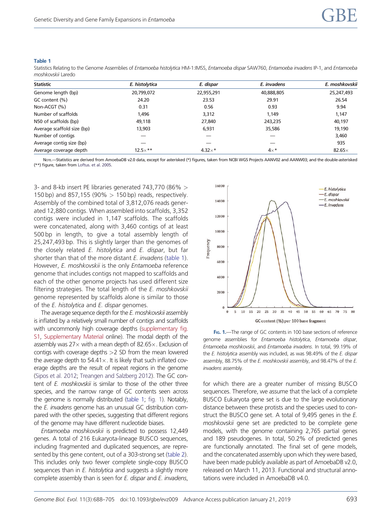#### Table 1

Statistics Relating to the Genome Assemblies of Entamoeba histolytica HM-1:IMSS, Entamoeba dispar SAW760, Entamoeba invadens IP-1, and Entamoeba moshkovskii Laredo

| <b>Statistic</b>           | E. histolytica | E. dispar      | E. invadens | E. moshkovskij |
|----------------------------|----------------|----------------|-------------|----------------|
| Genome length (bp)         | 20,799,072     | 22,955,291     | 40,888,805  | 25,247,493     |
| GC content (%)             | 24.20          | 23.53          | 29.91       | 26.54          |
| Non-ACGT (%)               | 0.31           | 0.56           | 0.93        | 9.94           |
| Number of scaffolds        | 1,496          | 3,312          | 1,149       | 1,147          |
| N50 of scaffolds (bp)      | 49,118         | 27,840         | 243,235     | 40,197         |
| Average scaffold size (bp) | 13,903         | 6,931          | 35,586      | 19,190         |
| Number of contigs          |                |                |             | 3,460          |
| Average contig size (bp)   |                |                |             | 935            |
| Average coverage depth     | $12.5\times**$ | $4.32\times$ * | $4\times^*$ | 82.65 $\times$ |

NorE.--Statistics are derived from AmoebaDB v2.0 data, except for asterisked (\*) figures, taken from NCBI WGS Projects AANV02 and AANW03; and the double-asterisked (\*\*) figure, taken from [Loftus. et al. 2005.](#page-17-0)

3- and 8-kb insert PE libraries generated 743,770 (86% > 150 bp) and 857,155 (90% > 150 bp) reads, respectively. Assembly of the combined total of 3,812,076 reads generated 12,880 contigs. When assembled into scaffolds, 3,352 contigs were included in 1,147 scaffolds. The scaffolds were concatenated, along with 3,460 contigs of at least 500 bp in length, to give a total assembly length of 25,247,493 bp. This is slightly larger than the genomes of the closely related E. histolytica and E. dispar, but far shorter than that of the more distant E. invadens (table 1). However, E. moshkovskii is the only Entamoeba reference genome that includes contigs not mapped to scaffolds and each of the other genome projects has used different size filtering strategies. The total length of the E. moshkovskii genome represented by scaffolds alone is similar to those of the E. histolytica and E. dispar genomes.

The average sequence depth for the E. moshkovskii assembly is inflated by a relatively small number of contigs and scaffolds with uncommonly high coverage depths [\(supplementary fig.](https://academic.oup.com/gbe/article-lookup/doi/10.1093/gbe/evz009#supplementary-data) [S1](https://academic.oup.com/gbe/article-lookup/doi/10.1093/gbe/evz009#supplementary-data), [Supplementary Material](https://academic.oup.com/gbe/article-lookup/doi/10.1093/gbe/evz009#supplementary-data) online). The modal depth of the assembly was 27 $\times$  with a mean depth of 82.65 $\times$ . Exclusion of contigs with coverage depths >2 SD from the mean lowered the average depth to  $54.41\times$ . It is likely that such inflated coverage depths are the result of repeat regions in the genome [\(Sipos et al. 2012](#page-17-0); [Treangen and Salzberg 2012](#page-18-0)). The GC content of E. moshkovskii is similar to those of the other three species, and the narrow range of GC contents seen across the genome is normally distributed (table 1; fig. 1). Notably, the E. invadens genome has an unusual GC distribution compared with the other species, suggesting that different regions of the genome may have different nucleotide biases.

Entamoeba moshkovskii is predicted to possess 12,449 genes. A total of 216 Eukaryota-lineage BUSCO sequences, including fragmented and duplicated sequences, are represented by this gene content, out of a 303-strong set [\(table 2](#page-7-0)). This includes only two fewer complete single-copy BUSCO sequences than in E. histolytica and suggests a slightly more complete assembly than is seen for E. dispar and E. invadens,



FIG. 1.-The range of GC contents in 100 base sections of reference genome assemblies for Entamoeba histolytica, Entamoeba dispar, Entamoeba moshkovskii, and Entamoeba invadens. In total, 99.19% of the E. histolytica assembly was included, as was 98.49% of the E. dispar assembly, 88.75% of the E. moshkovskii assembly, and 98.47% of the E. invadens assembly.

for which there are a greater number of missing BUSCO sequences. Therefore, we assume that the lack of a complete BUSCO Eukaryota gene set is due to the large evolutionary distance between these protists and the species used to construct the BUSCO gene set. A total of 9,495 genes in the E. moshkovskii gene set are predicted to be complete gene models, with the genome containing 2,765 partial genes and 189 pseudogenes. In total, 50.2% of predicted genes are functionally annotated. The final set of gene models, and the concatenated assembly upon which they were based, have been made publicly available as part of AmoebaDB v2.0, released on March 11, 2013. Functional and structural annotations were included in AmoebaDB v4.0.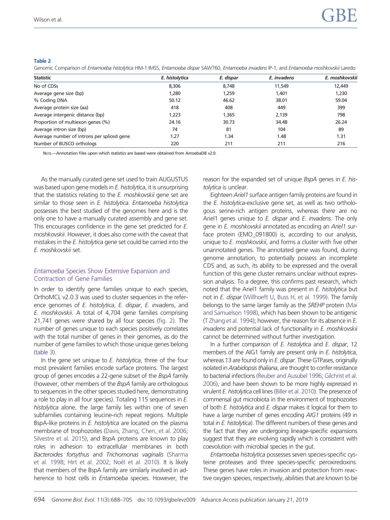#### <span id="page-7-0"></span>Table 2

Genomic Comparison of Entamoeba histolytica HM-1:IMSS, Entamoeba dispar SAW760, Entamoeba invadens IP-1, and Entamoeba moshkovskii Laredo

| <b>Statistic</b>                           | E. histolytica | E. dispar | E. invadens | E. moshkovskij |
|--------------------------------------------|----------------|-----------|-------------|----------------|
| No of CDSs                                 | 8,306          | 8,748     | 11,549      | 12,449         |
| Average gene size (bp)                     | 1,280          | 1,259     | 1,401       | 1,230          |
| % Coding DNA                               | 50.12          | 46.62     | 38.01       | 59.04          |
| Average protein size (aa)                  | 418            | 408       | 449         | 399            |
| Average intergenic distance (bp)           | 1,223          | 1,365     | 2,139       | 798            |
| Proportion of multiexon genes (%)          | 24.16          | 30.73     | 34.48       | 26.24          |
| Average intron size (bp)                   | 74             | 81        | 104         | 89             |
| Average number of introns per spliced gene | 1.27           | 1.34      | 1.48        | 1.31           |
| Number of BUSCO orthologs                  | 220            | 211       | 211         | 216            |

Nore -- Annotation files upon which statistics are based were obtained from AmoebaDB v2.0.

As the manually curated gene set used to train AUGUSTUS was based upon gene models in E. histolytica, it is unsurprising that the statistics relating to the E. moshkovskii gene set are similar to those seen in E. histolytica. Entamoeba histolytica possesses the best studied of the genomes here and is the only one to have a manually curated assembly and gene set. This encourages confidence in the gene set predicted for E. moshkovskii. However, it does also come with the caveat that mistakes in the E. histolytica gene set could be carried into the E. moshkovskii set.

#### Entamoeba Species Show Extensive Expansion and Contraction of Gene Families

In order to identify gene families unique to each species, OrthoMCL v2.0.3 was used to cluster sequences in the reference genomes of E. histolytica, E. dispar, E. invadens, and E. moshkovskii. A total of 4,704 gene families comprising 21,741 genes were shared by all four species [\(fig. 2](#page-8-0)). The number of genes unique to each species positively correlates with the total number of genes in their genomes, as do the number of gene families to which those unique genes belong [\(table 3](#page-9-0)).

In the gene set unique to  $E$ . histolytica, three of the four most prevalent families encode surface proteins. The largest group of genes encodes a 22-gene subset of the BspA family (however, other members of the BspA family are orthologous to sequences in the other species studied here, demonstrating a role to play in all four species). Totaling 115 sequences in E. histolytica alone, the large family lies within one of seven subfamilies containing leucine-rich repeat regions. Multiple BspA-like proteins in E. histolytica are located on the plasma membrane of trophozoites [\(Davis, Zhang, Chen, et al. 2006;](#page-16-0) [Silvestre et al. 2015\)](#page-17-0), and BspA proteins are known to play roles in adhesion to extracellular membranes in both Bacteroides forsythus and Trichomonas vaginalis ([Sharma](#page-17-0) [et al. 1998;](#page-17-0) [Hirt et al. 2002;](#page-16-0) [No](#page-17-0)ël et al. 2010). It is likely that members of the BspA family are similarly involved in adherence to host cells in Entamoeba species. However, the reason for the expanded set of unique BspA genes in E. histolytica is unclear.

Eighteen Ariel1 surface antigen family proteins are found in the E. histolytica-exclusive gene set, as well as two orthologous serine-rich antigen proteins, whereas there are no Ariel1 genes unique to E. dispar and E. invadens. The only gene in E. moshkovskij annotated as encoding an Ariel1 surface protein (EMO\_091800) is, according to our analysis, unique to E. moshkovskii, and forms a cluster with five other unannotated genes. The annotated gene was found, during genome annotation, to potentially possess an incomplete CDS and, as such, its ability to be expressed and the overall function of this gene cluster remains unclear without expression analysis. To a degree, this confirms past research, which noted that the Ariel1 family was present in E. histolytica but not in E. dispar [\(Willhoeft U, Buss H, et al. 1999\)](#page-18-0). The family belongs to the same larger family as the SREHP protein [\(Mai](#page-17-0) [and Samuelson 1998](#page-17-0)), which has been shown to be antigenic [\(T Zhang et al. 1994](#page-18-0)); however, the reason for its absence in E. invadens and potential lack of functionality in E. moshkovskii cannot be determined without further investigation.

In a further comparison of E. histolytica and E. dispar, 12 members of the AIG1 family are present only in E. histolytica, whereas 13 are found only in E. dispar. These GTPases, originally isolated in Arabidopsis thaliana, are thought to confer resistance to bacterial infections [\(Reuber and Ausubel 1996](#page-17-0); [Gilchrist et al.](#page-16-0) [2006](#page-16-0)), and have been shown to be more highly expressed in virulent E. histolytica cell lines [\(Biller et al. 2010](#page-15-0)). The presence of commensal gut microbiota in the environment of trophozoites of both E. histolytica and E. dispar makes it logical for them to have a large number of genes encoding AIG1 proteins (49 in total in E. histolytica). The different numbers of these genes and the fact that they are undergoing lineage-specific expansions suggest that they are evolving rapidly which is consistent with coevolution with microbial species in the gut.

Entamoeba histolytica possesses seven species-specific cysteine proteases and three species-specific peroxiredoxins. These genes have roles in invasion and protection from reactive oxygen species, respectively, abilities that are known to be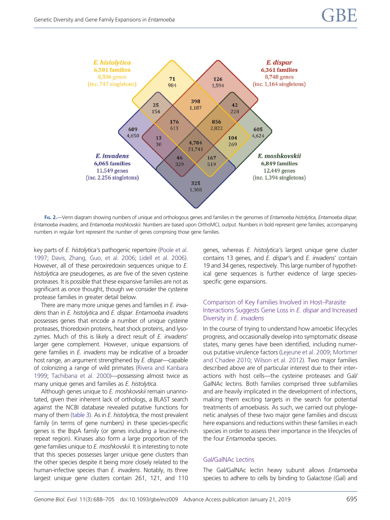<span id="page-8-0"></span>

FIG. 2.—Venn diagram showing numbers of unique and orthologous genes and families in the genomes of Entamoeba histolytica, Entamoeba dispar, Entamoeba invadens, and Entamoeba moshkovskii. Numbers are based upon OrthoMCL output. Numbers in bold represent gene families; accompanying numbers in regular font represent the number of genes comprising those gene families.

key parts of E. histolytica's pathogenic repertoire [\(Poole et al.](#page-17-0) [1997](#page-17-0); [Davis, Zhang, Guo, et al. 2006](#page-16-0); [Lidell et al. 2006](#page-17-0)). However, all of these peroxiredoxin sequences unique to E. histolytica are pseudogenes, as are five of the seven cysteine proteases. It is possible that these expansive families are not as significant as once thought, though we consider the cysteine protease families in greater detail below.

There are many more unique genes and families in E. invadens than in E. histolytica and E. dispar. Entamoeba invadens possesses genes that encode a number of unique cysteine proteases, thioredoxin proteins, heat shock proteins, and lysozymes. Much of this is likely a direct result of E. invadens' larger gene complement. However, unique expansions of gene families in E. invadens may be indicative of a broader host range, an argument strengthened by E. dispar—capable of colonizing a range of wild primates [\(Rivera and Kanbara](#page-17-0) [1999](#page-17-0); [Tachibana et al. 2000\)](#page-18-0)—possessing almost twice as many unique genes and families as E. histolytica.

Although genes unique to E. moshkovskii remain unannotated, given their inherent lack of orthologs, a BLAST search against the NCBI database revealed putative functions for many of them [\(table 3\)](#page-9-0). As in *E. histolytica*, the most prevalent family (in terms of gene numbers) in these species-specific genes is the BspA family (or genes including a leucine-rich repeat region). Kinases also form a large proportion of the gene families unique to E. moshkovskii. It is interesting to note that this species possesses larger unique gene clusters than the other species despite it being more closely related to the human-infective species than E. invadens. Notably, its three largest unique gene clusters contain 261, 121, and 110 genes, whereas E. histolytica's largest unique gene cluster contains 13 genes, and E. dispar's and E. invadens' contain 19 and 34 genes, respectively. This large number of hypothetical gene sequences is further evidence of large speciesspecific gene expansions.

#### Comparison of Key Families Involved in Host–Parasite Interactions Suggests Gene Loss in E. dispar and Increased Diversity in E. invadens

In the course of trying to understand how amoebic lifecycles progress, and occasionally develop into symptomatic disease states, many genes have been identified, including numerous putative virulence factors [\(Lejeune et al. 2009;](#page-16-0) [Mortimer](#page-17-0) [and Chadee 2010;](#page-17-0) [Wilson et al. 2012\)](#page-18-0). Two major families described above are of particular interest due to their interactions with host cells—the cysteine proteases and Gal/ GalNAc lectins. Both families comprised three subfamilies and are heavily implicated in the development of infections, making them exciting targets in the search for potential treatments of amoebiasis. As such, we carried out phylogenetic analyses of these two major gene families and discuss here expansions and reductions within these families in each species in order to assess their importance in the lifecycles of the four Entamoeba species.

#### Gal/GalNAc Lectins

The Gal/GalNAc lectin heavy subunit allows Entamoeba species to adhere to cells by binding to Galactose (Gal) and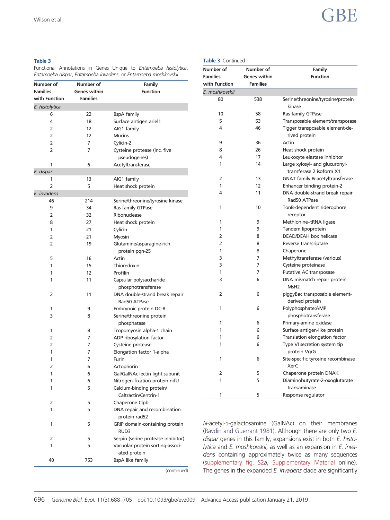# <span id="page-9-0"></span>Wilson et al.  $\begin{array}{ccc} \text{Wilson et al.} \end{array}$

#### Table 3

Functional Annotations in Genes Unique to Entamoeba histolytica, Entamoeba dispar, Entamoeba invadens, or Entamoeba moshkovskii

| Number of       | Number of<br>Family                |                                                  |  |  |
|-----------------|------------------------------------|--------------------------------------------------|--|--|
| <b>Families</b> | Genes within                       | <b>Function</b>                                  |  |  |
| with Function   | <b>Families</b>                    |                                                  |  |  |
| E. histolytica  |                                    |                                                  |  |  |
| 6               | 22                                 | <b>BspA</b> family                               |  |  |
| 4               | 18                                 | Surface antigen ariel1                           |  |  |
| 2               | 12                                 | AIG1 family                                      |  |  |
| $\overline{2}$  | 12                                 | <b>Mucins</b>                                    |  |  |
| 2               | 7                                  | Cylicin-2                                        |  |  |
| 2               | 7                                  | Cysteine protease (inc. five<br>pseudogenes)     |  |  |
| 1               | 6                                  | Acetyltransferase                                |  |  |
| E. dispar       |                                    |                                                  |  |  |
| 1               | 13                                 | AIG1 family                                      |  |  |
| 2               | 5                                  | Heat shock protein                               |  |  |
| E. invadens     |                                    |                                                  |  |  |
| 46              | 214                                | Serine/threonine/tyrosine kinase                 |  |  |
| 9               | 34                                 | Ras family GTPase                                |  |  |
| 2               | 32                                 | Ribonuclease                                     |  |  |
| 8               | 27                                 | Heat shock protein                               |  |  |
| 1               | 21                                 | Cylicin                                          |  |  |
| 2               | 21                                 | Myosin                                           |  |  |
| 2               | 19                                 | Glutamine/asparagine-rich                        |  |  |
|                 |                                    | protein pqn-25                                   |  |  |
| 5               | 16                                 | Actin                                            |  |  |
| 1               | 15                                 | Thioredoxin                                      |  |  |
| 1               | 12                                 | Profilin                                         |  |  |
| 1               | 11                                 | Capsular polysaccharide                          |  |  |
|                 |                                    | phosphotransferase                               |  |  |
|                 |                                    |                                                  |  |  |
| 2               | 11                                 | DNA double-strand break repair                   |  |  |
|                 |                                    | Rad50 ATPase                                     |  |  |
| 1               | 9                                  | Embryonic protein DC-8                           |  |  |
|                 | 3<br>Serine/threonine protein<br>8 |                                                  |  |  |
|                 |                                    | phosphatase                                      |  |  |
| 1               | 8                                  | Tropomyosin alpha-1 chain                        |  |  |
| 2               | 7                                  | ADP ribosylation factor                          |  |  |
| 2               | 7                                  | Cysteine protease                                |  |  |
| 1               | 7                                  | Elongation factor 1-alpha                        |  |  |
| 1               | 7                                  | Furin                                            |  |  |
| 2               | 6                                  | Actophorin                                       |  |  |
| 1               | 6                                  | Gal/GalNAc lectin light subunit                  |  |  |
| 1               | 6                                  | Nitrogen fixation protein nifU                   |  |  |
| 1               | 5                                  | Calcium-binding protein/<br>Caltractin/Centrin-1 |  |  |
| 2               | 5                                  | Chaperone Clpb                                   |  |  |
| 1               | 5                                  | DNA repair and recombination                     |  |  |
|                 |                                    | protein rad52                                    |  |  |
| 1               | 5                                  | GRIP domain-containing protein<br>RUD3           |  |  |
| 2               | 5                                  | Serpin (serine protease inhibitor)               |  |  |
| 1               | 5                                  | Vacuolar protein sorting-associ-<br>ated protein |  |  |
| 40              | 753                                | <b>BspA like family</b>                          |  |  |
|                 |                                    | (continued)                                      |  |  |

#### Table 3 Continued

| Number of       | Number of           | Family                                                     |  |  |
|-----------------|---------------------|------------------------------------------------------------|--|--|
| <b>Families</b> | <b>Genes within</b> | <b>Function</b>                                            |  |  |
| with Function   | <b>Families</b>     |                                                            |  |  |
| E. moshkovskii  |                     |                                                            |  |  |
| 80              | 538                 | Serine/threonine/tyrosine/protein<br>kinase                |  |  |
| 10              | 58                  | Ras family GTPase                                          |  |  |
| 5               | 53                  | Transposable element/transposase                           |  |  |
| 4               | 46                  | Tigger transposable element-de-<br>rived protein           |  |  |
| 9               | 36                  | Actin                                                      |  |  |
| 8               | 26                  | Heat shock protein                                         |  |  |
| 4               | 17                  | Leukocyte elastase inhibitor                               |  |  |
| 1               | 14                  | Large xylosyl- and glucuronyl-<br>transferase 2 isoform X1 |  |  |
| 2               | 13                  | <b>GNAT family N-acetyltransferase</b>                     |  |  |
| 1               | 12                  | Enhancer binding protein-2                                 |  |  |
| 4               | 11                  | DNA double-strand break repair<br>Rad50 ATPase             |  |  |
| 1               | 10                  | TonB-dependent siderophore<br>receptor                     |  |  |
| 1               | 9                   | Methionine-tRNA ligase                                     |  |  |
| 1               | 9                   | Tandem lipoprotein                                         |  |  |
| 2               | 8                   | DEAD/DEAH box helicase                                     |  |  |
| 2               | 8                   | Reverse transcriptase                                      |  |  |
| 1               | 8                   | Chaperone                                                  |  |  |
| 3               | 7                   | Methyltransferase (various)                                |  |  |
| 3               | 7                   | Cysteine proteinase                                        |  |  |
| 1               | 7                   | Putative AC transposase                                    |  |  |
| 3               | 6                   | DNA mismatch repair protein<br>MsH <sub>2</sub>            |  |  |
| 2               | 6                   | piggyBac transposable element-<br>derived protein          |  |  |
| 1               | 6                   | Polyphosphate:AMP<br>phosphotransferase                    |  |  |
| 1               | 6                   | Primary-amine oxidase                                      |  |  |
| 1               | 6                   | Surface antigen-like protein                               |  |  |
| 1               | 6                   | Translation elongation factor                              |  |  |
| 1               | 6                   | Type VI secretion system tip<br>protein VgrG               |  |  |
| 1               | 6                   | Site-specific tyrosine recombinase<br><b>XerC</b>          |  |  |
| 2               | 5                   | Chaperone protein DNAK                                     |  |  |
| 1               | 5                   | Diaminobutyrate-2-oxoglutarate<br>transaminase             |  |  |
| 1               | 5                   | Response regulator                                         |  |  |

N-acetyl-D-galactosamine (GalNAc) on their membranes [\(Ravdin and Guerrant 1981\)](#page-17-0). Although there are only two E. dispar genes in this family, expansions exist in both E. histolytica and E. moshkovskii, as well as an expansion in E. invadens containing approximately twice as many sequences [\(supplementary fig. S2](https://academic.oup.com/gbe/article-lookup/doi/10.1093/gbe/evz009#supplementary-data)a, [Supplementary Material](https://academic.oup.com/gbe/article-lookup/doi/10.1093/gbe/evz009#supplementary-data) online). The genes in the expanded E. invadens clade are significantly

696 Genome Biol. Evol. 11(3):688–705 doi:10.1093/gbe/evz009 Advance Access publication January 21, 2019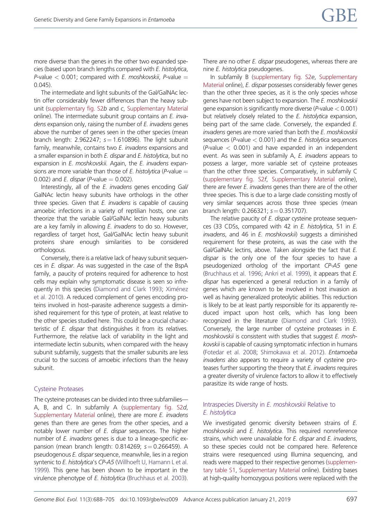more diverse than the genes in the other two expanded species (based upon branch lengths compared with E. histolytica, P-value  $<$  0.001; compared with *E. moshkovskii*, *P*-value  $=$ 0.045).

The intermediate and light subunits of the Gal/GalNAc lectin offer considerably fewer differences than the heavy subunit ([supplementary fig. S2](https://academic.oup.com/gbe/article-lookup/doi/10.1093/gbe/evz009#supplementary-data)b and c, [Supplementary Material](https://academic.oup.com/gbe/article-lookup/doi/10.1093/gbe/evz009#supplementary-data) online). The intermediate subunit group contains an E. invadens expansion only, raising the number of E. invadens genes above the number of genes seen in the other species (mean branch length: 2.962247;  $s = 1.610896$ ). The light subunit family, meanwhile, contains two E. invadens expansions and a smaller expansion in both E. dispar and E. histolytica, but no expansion in *E. moshkovskii.* Again, the *E. invadens* expansions are more variable than those of E. histolytica (P-value  $=$ 0.002) and *E. dispar (P*-value  $= 0.002$ ).

Interestingly, all of the *E. invadens* genes encoding Gal/ GalNAc lectin heavy subunits have orthologs in the other three species. Given that  $E$ . invadens is capable of causing amoebic infections in a variety of reptilian hosts, one can theorize that the variable Gal/GalNAc lectin heavy subunits are a key family in allowing E. invadens to do so. However, regardless of target host, Gal/GalNAc lectin heavy subunit proteins share enough similarities to be considered orthologous.

Conversely, there is a relative lack of heavy subunit sequences in E. dispar. As was suggested in the case of the BspA family, a paucity of proteins required for adherence to host cells may explain why symptomatic disease is seen so infre-quently in this species [\(Diamond and Clark 1993](#page-16-0); [Xim](#page-18-0)é[nez](#page-18-0) [et al. 2010](#page-18-0)). A reduced complement of genes encoding proteins involved in host–parasite adherence suggests a diminished requirement for this type of protein, at least relative to the other species studied here. This could be a crucial characteristic of E. dispar that distinguishes it from its relatives. Furthermore, the relative lack of variability in the light and intermediate lectin subunits, when compared with the heavy subunit subfamily, suggests that the smaller subunits are less crucial to the success of amoebic infections than the heavy subunit.

#### Cysteine Proteases

The cysteine proteases can be divided into three subfamilies— A, B, and C. In subfamily A [\(supplementary fig. S2](https://academic.oup.com/gbe/article-lookup/doi/10.1093/gbe/evz009#supplementary-data)d, [Supplementary Material](https://academic.oup.com/gbe/article-lookup/doi/10.1093/gbe/evz009#supplementary-data) online), there are more E. invadens genes than there are genes from the other species, and a notably lower number of  $E$ . dispar sequences. The higher number of E. invadens genes is due to a lineage-specific expansion (mean branch length: 0.814269;  $s = 0.266459$ ). A pseudogenous E. dispar sequence, meanwhile, lies in a region syntenic to E. histolytica's CP-A5 [\(Willhoeft U, Hamann L et al.](#page-18-0) [1999](#page-18-0)). This gene has been shown to be important in the virulence phenotype of E. histolytica ([Bruchhaus et al. 2003](#page-16-0)). There are no other E. dispar pseudogenes, whereas there are nine E. histolytica pseudogenes.

In subfamily B [\(supplementary fig. S2](https://academic.oup.com/gbe/article-lookup/doi/10.1093/gbe/evz009#supplementary-data)e, [Supplementary](https://academic.oup.com/gbe/article-lookup/doi/10.1093/gbe/evz009#supplementary-data) [Material](https://academic.oup.com/gbe/article-lookup/doi/10.1093/gbe/evz009#supplementary-data) online), E. dispar possesses considerably fewer genes than the other three species, as it is the only species whose genes have not been subject to expansion. The E. moshkovskii gene expansion is significantly more diverse ( $P$ -value  $< 0.001$ ) but relatively closely related to the E. histolytica expansion, being part of the same clade. Conversely, the expanded E. invadens genes are more varied than both the E. moshkovskii sequences ( $P$ -value  $<$  0.001) and the *E. histolytica* sequences  $(P-value < 0.001)$  and have expanded in an independent event. As was seen in subfamily A, E. invadens appears to possess a larger, more variable set of cysteine proteases than the other three species. Comparatively, in subfamily C [\(supplementary fig. S2](https://academic.oup.com/gbe/article-lookup/doi/10.1093/gbe/evz009#supplementary-data)f, [Supplementary Material](https://academic.oup.com/gbe/article-lookup/doi/10.1093/gbe/evz009#supplementary-data) online), there are fewer E. invadens genes than there are of the other three species. This is due to a large clade consisting mostly of very similar sequences across those three species (mean branch length: 0.266321;  $s = 0.351707$ ).

The relative paucity of E. dispar cysteine protease sequences (33 CDSs, compared with 42 in E. histolytica, 51 in E. invadens, and 46 in E. moshkovskii) suggests a diminished requirement for these proteins, as was the case with the Gal/GalNAc lectins, above. Taken alongside the fact that E. dispar is the only one of the four species to have a pseudogenized ortholog of the important CP-A5 gene [\(Bruchhaus et al. 1996](#page-16-0); [Ankri et al. 1999](#page-15-0)), it appears that E. dispar has experienced a general reduction in a family of genes which are known to be involved in host invasion as well as having generalized proteolytic abilities. This reduction is likely to be at least partly responsible for its apparently reduced impact upon host cells, which has long been recognized in the literature ([Diamond and Clark 1993\)](#page-16-0). Conversely, the large number of cysteine proteases in E. moshkovskii is consistent with studies that suggest E. moshkovskii is capable of causing symptomatic infection in humans [\(Fotedar et al. 2008](#page-16-0); [Shimokawa et al. 2012\)](#page-17-0). Entamoeba invadens also appears to require a variety of cysteine proteases further supporting the theory that  $E$ . invadens requires a greater diversity of virulence factors to allow it to effectively parasitize its wide range of hosts.

#### Intraspecies Diversity in E. moshkovskii Relative to E. histolytica

We investigated genomic diversity between strains of E. moshkovskii and E. histolytica. This required nonreference strains, which were unavailable for E. dispar and E. invadens, so these species could not be compared here. Reference strains were resequenced using Illumina sequencing, and reads were mapped to their respective genomes [\(supplemen](https://academic.oup.com/gbe/article-lookup/doi/10.1093/gbe/evz009#supplementary-data)[tary table S1,](https://academic.oup.com/gbe/article-lookup/doi/10.1093/gbe/evz009#supplementary-data) [Supplementary Material](https://academic.oup.com/gbe/article-lookup/doi/10.1093/gbe/evz009#supplementary-data) online). Existing bases at high-quality homozygous positions were replaced with the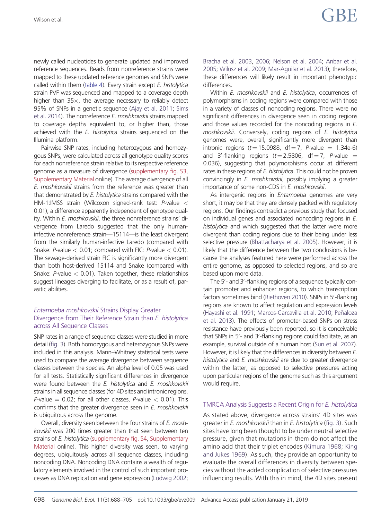newly called nucleotides to generate updated and improved reference sequences. Reads from nonreference strains were mapped to these updated reference genomes and SNPs were called within them ([table 4\)](#page-12-0). Every strain except E. histolytica strain PVF was sequenced and mapped to a coverage depth higher than  $35x$ , the average necessary to reliably detect 95% of SNPs in a genetic sequence [\(Ajay et al. 2011;](#page-15-0) [Sims](#page-17-0) [et al. 2014](#page-17-0)). The nonreference E. moshkovskij strains mapped to coverage depths equivalent to, or higher than, those achieved with the *E. histolytica* strains sequenced on the Illumina platform.

Pairwise SNP rates, including heterozygous and homozygous SNPs, were calculated across all genotype quality scores for each nonreference strain relative to its respective reference genome as a measure of divergence ([supplementary fig. S3,](https://academic.oup.com/gbe/article-lookup/doi/10.1093/gbe/evz009#supplementary-data) [Supplementary Material](https://academic.oup.com/gbe/article-lookup/doi/10.1093/gbe/evz009#supplementary-data) online). The average divergence of all E. moshkovskii strains from the reference was greater than that demonstrated by E. histolytica strains compared with the HM-1:IMSS strain (Wilcoxon signed-rank test: P-value < 0.01), a difference apparently independent of genotype quality. Within E. moshkovskii, the three nonreference strains' divergence from Laredo suggested that the only humaninfective nonreference strain—15114—is the least divergent from the similarly human-infective Laredo (compared with Snake:  $P$ -value < 0.01; compared with FIC:  $P$ -value < 0.01). The sewage-derived strain FIC is significantly more divergent than both host-derived 15114 and Snake (compared with Snake:  $P$ -value  $<$  0.01). Taken together, these relationships suggest lineages diverging to facilitate, or as a result of, parasitic abilities.

#### Entamoeba moshkovskii Strains Display Greater Divergence from Their Reference Strain than E. histolytica across All Sequence Classes

SNP rates in a range of sequence classes were studied in more detail [\(fig. 3](#page-13-0)). Both homozygous and heterozygous SNPs were included in this analysis. Mann–Whitney statistical tests were used to compare the average divergence between sequence classes between the species. An alpha level of 0.05 was used for all tests. Statistically significant differences in divergence were found between the E. histolytica and E. moshkovskii strains in all sequence classes (for 4D sites and intronic regions, P-value  $= 0.02$ ; for all other classes, P-value  $< 0.01$ ). This confirms that the greater divergence seen in E. moshkovskii is ubiquitous across the genome.

Overall, diversity seen between the four strains of E. moshkovskii was 200 times greater than that seen between ten strains of E. histolytica ([supplementary fig. S4](https://academic.oup.com/gbe/article-lookup/doi/10.1093/gbe/evz009#supplementary-data), [Supplementary](https://academic.oup.com/gbe/article-lookup/doi/10.1093/gbe/evz009#supplementary-data) [Material](https://academic.oup.com/gbe/article-lookup/doi/10.1093/gbe/evz009#supplementary-data) online). This higher diversity was seen, to varying degrees, ubiquitously across all sequence classes, including noncoding DNA. Noncoding DNA contains a wealth of regulatory elements involved in the control of such important processes as DNA replication and gene expression [\(Ludwig 2002;](#page-17-0)

[Bracha et al. 2003,](#page-16-0) [2006](#page-16-0); [Nelson et al. 2004;](#page-17-0) [Anbar et al.](#page-15-0) [2005;](#page-15-0) [Wilusz et al. 2009;](#page-18-0) [Mar-Aguilar et al. 2013](#page-17-0)); therefore, these differences will likely result in important phenotypic differences.

Within E. moshkovskii and E. histolytica, occurrences of polymorphisms in coding regions were compared with those in a variety of classes of noncoding regions. There were no significant differences in divergence seen in coding regions and those values recorded for the noncoding regions in E. moshkovskii. Conversely, coding regions of E. histolytica genomes were, overall, significantly more divergent than intronic regions  $(t = 15.0988, df = 7, P-value = 1.34e-6)$ and 3'-flanking regions ( $t = 2.5806$ , df  $= 7$ , P-value  $=$ 0.036), suggesting that polymorphisms occur at different rates in these regions of E. histolytica. This could not be proven convincingly in E. moshkovskii, possibly implying a greater importance of some non-CDS in E. moshkovskii.

As intergenic regions in *Entamoeba* genomes are very short, it may be that they are densely packed with regulatory regions. Our findings contradict a previous study that focused on individual genes and associated noncoding regions in E. histolytica and which suggested that the latter were more divergent than coding regions due to their being under less selective pressure [\(Bhattacharya et al. 2005](#page-15-0)). However, it is likely that the difference between the two conclusions is because the analyses featured here were performed across the entire genome, as opposed to selected regions, and so are based upon more data.

The 5'- and 3'-flanking regions of a sequence typically contain promoter and enhancer regions, to which transcription factors sometimes bind [\(Riethoven 2010\)](#page-17-0). SNPs in 5'-flanking regions are known to affect regulation and expression levels [\(Hayashi et al. 1991;](#page-16-0) [Marcos-Carcavilla et al. 2010;](#page-17-0) [Pe](#page-17-0)ñ[aloza](#page-17-0) [et al. 2013\)](#page-17-0). The effects of promoter-based SNPs on stress resistance have previously been reported, so it is conceivable that SNPs in 5'- and 3'-flanking regions could facilitate, as an example, survival outside of a human host ([Sun et al. 2007\)](#page-17-0). However, it is likely that the differences in diversity between E. histolytica and E. moshkovskii are due to greater divergence within the latter, as opposed to selective pressures acting upon particular regions of the genome such as this argument would require.

#### TMRCA Analysis Suggests a Recent Origin for E. histolytica

As stated above, divergence across strains' 4D sites was greater in E. moshkovskii than in E. histolytica ([fig. 3\)](#page-13-0). Such sites have long been thought to be under neutral selective pressure, given that mutations in them do not affect the amino acid that their triplet encodes [\(Kimura 1968](#page-16-0); [King](#page-16-0) [and Jukes 1969\)](#page-16-0). As such, they provide an opportunity to evaluate the overall differences in diversity between species without the added complication of selective pressures influencing results. With this in mind, the 4D sites present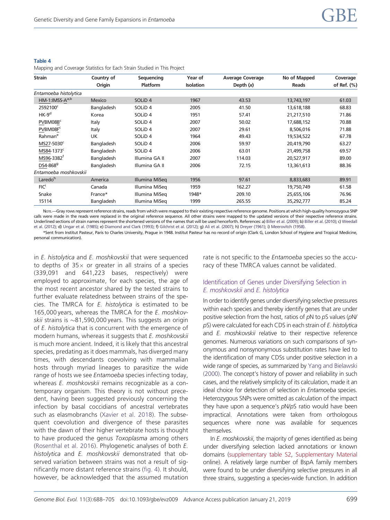#### <span id="page-12-0"></span>Table 4

Mapping and Coverage Statistics for Each Strain Studied in This Project

| <b>Strain</b>              | Country of    | Sequencing         | Year of          | <b>Average Coverage</b> | No of Mapped | Coverage       |
|----------------------------|---------------|--------------------|------------------|-------------------------|--------------|----------------|
|                            | Origin        | <b>Platform</b>    | <b>Isolation</b> | Depth $(x)$             | Reads        | of Ref. $(\%)$ |
| Entamoeba histolytica      |               |                    |                  |                         |              |                |
| HM-1:IMSS-A <sup>a,b</sup> | <b>Mexico</b> | SOLiD <sub>4</sub> | 1967             | 43.53                   | 13,743,197   | 61.03          |
| 2592100°                   | Bangladesh    | SOLiD <sub>4</sub> | 2005             | 41.50                   | 13,618,188   | 68.83          |
| $HK-9d$                    | Korea         | SOLiD <sub>4</sub> | 1951             | 57.41                   | 21,217,510   | 71.86          |
| PVBM08B <sup>c</sup>       | Italy         | SOLiD <sub>4</sub> | 2007             | 50.02                   | 17,688,152   | 70.88          |
| PVBM08F <sup>c</sup>       | Italy         | SOLiD <sub>4</sub> | 2007             | 29.61                   | 8,506,016    | 71.88          |
| Rahman <sup>e</sup>        | <b>UK</b>     | SOLiD <sub>4</sub> | 1964             | 49.43                   | 19,534,522   | 67.78          |
| MS27-5030 <sup>c</sup>     | Bangladesh    | SOLiD <sub>4</sub> | 2006             | 59.97                   | 20,419,790   | 63.27          |
| MS84-1373 <sup>c</sup>     | Bangladesh    | SOLiD <sub>4</sub> | 2006             | 63.01                   | 21,499,758   | 69.57          |
| MS96-3382 <sup>t</sup>     | Bangladesh    | Illumina GA II     | 2007             | 114.03                  | 20,527,917   | 89.00          |
| DS4-868 <sup>9</sup>       | Bangladesh    | Illumina GA II     | 2006             | 72.15                   | 13,361,613   | 88.36          |
| Entamoeba moshkovskii      |               |                    |                  |                         |              |                |
| Laredoh                    | America       | Illumina MiSeg     | 1956             | 97.61                   | 8,833,683    | 89.91          |
| FIC <sup>i</sup>           | Canada        | Illumina MiSeg     | 1959             | 162.27                  | 19,750,749   | 61.58          |
| Snake                      | France*       | Illumina MiSeg     | 1948*            | 209.10                  | 25,655,106   | 76.96          |
| 15114                      | Bangladesh    | Illumina MiSeg     | 1999             | 265.55                  | 35,292,777   | 85.24          |

NorE-Gray rows represent reference strains, reads from which were mapped to their existing respective reference genome. Positions at which high-quality homozygous SNP calls were made in the reads were replaced in the original reference sequence. All other strains were mapped to the updated versions of their respective reference strains. Underlined sections of strain names represent the shortened versions of the names that will be used henceforth. References: a) [Biller et al. \(2009\);](#page-15-0) b) [Biller et al. \(2010\)](#page-15-0); c) [Weedall](#page-18-0) [et al. \(2012\)](#page-18-0); d) [Ungar et al. \(1985\)](#page-18-0); e) [Diamond and Clark \(1993\)](#page-16-0); f) [Gilchrist et al. \(2012\);](#page-16-0) g) [Ali et al. \(2007\);](#page-15-0) h) [Dreyer \(1961\)](#page-16-0); i) [Meerovitch \(1958\)](#page-17-0).

\*Sent from Institut Pasteur, Paris to Charles University, Prague in 1948. Institut Pasteur has no record of origin (Clark G, London School of Hygiene and Tropical Medicine, personal communication).

in E. histolytica and E. moshkovskii that were sequenced to depths of  $35 \times$  or greater in all strains of a species (339,091 and 641,223 bases, respectively) were employed to approximate, for each species, the age of the most recent ancestor shared by the tested strains to further evaluate relatedness between strains of the species. The TMRCA for E. histolytica is estimated to be 165,000 years, whereas the TMRCA for the E. moshkov*skii* strains is  ${\sim}81$ ,590,000 years. This suggests an origin of E. histolytica that is concurrent with the emergence of modern humans, whereas it suggests that E. moshkovskii is much more ancient. Indeed, it is likely that this ancestral species, predating as it does mammals, has diverged many times, with descendants coevolving with mammalian hosts through myriad lineages to parasitize the wide range of hosts we see Entamoeba species infecting today, whereas E. moshkovskii remains recognizable as a contemporary organism. This theory is not without precedent, having been suggested previously concerning the infection by basal coccidians of ancestral vertebrates such as elasmobranchs ([Xavier et al. 2018](#page-18-0)). The subsequent coevolution and divergence of these parasites with the dawn of their higher vertebrate hosts is thought to have produced the genus Toxoplasma among others ([Rosenthal et al. 2016\)](#page-17-0). Phylogenetic analyses of both E. histolytica and E. moshkovskii demonstrated that observed variation between strains was not a result of significantly more distant reference strains ([fig. 4](#page-14-0)). It should, however, be acknowledged that the assumed mutation

rate is not specific to the Entamoeba species so the accuracy of these TMRCA values cannot be validated.

#### Identification of Genes under Diversifying Selection in E. moshkovskii and E. histolytica

In order to identify genes under diversifying selective pressures within each species and thereby identify genes that are under positive selection from the host, ratios of pN to pS values (pN/ pS) were calculated for each CDS in each strain of E. histolytica and E. moshkovskii relative to their respective reference genomes. Numerous variations on such comparisons of synonymous and nonsynonymous substitution rates have led to the identification of many CDSs under positive selection in a wide range of species, as summarized by [Yang and Bielawski](#page-18-0) [\(2000\).](#page-18-0) The concept's history of power and reliability in such cases, and the relatively simplicity of its calculation, made it an ideal choice for detection of selection in Entamoeba species. Heterozygous SNPs were omitted as calculation of the impact they have upon a sequence's pN/pS ratio would have been impractical. Annotations were taken from orthologous sequences where none was available for sequences themselves.

In E. moshkovskii, the majority of genes identified as being under diversifying selection lacked annotations or known domains [\(supplementary table S2,](https://academic.oup.com/gbe/article-lookup/doi/10.1093/gbe/evz009#supplementary-data) [Supplementary Material](https://academic.oup.com/gbe/article-lookup/doi/10.1093/gbe/evz009#supplementary-data) online). A relatively large number of BspA family members were found to be under diversifying selective pressures in all three strains, suggesting a species-wide function. In addition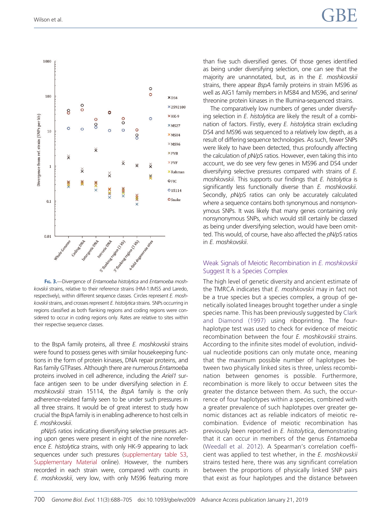<span id="page-13-0"></span>

FIG. 3.—Divergence of Entamoeba histolytica and Entamoeba moshkovskii strains, relative to their reference strains (HM-1:IMSS and Laredo, respectively), within different sequence classes. Circles represent E. moshkovskii strains, and crosses represent E. histolytica strains. SNPs occurring in regions classified as both flanking regions and coding regions were considered to occur in coding regions only. Rates are relative to sites within their respective sequence classes.

to the BspA family proteins, all three E. moshkovskii strains were found to possess genes with similar housekeeping functions in the form of protein kinases, DNA repair proteins, and Ras family GTPases. Although there are numerous Entamoeba proteins involved in cell adherence, including the Ariel1 surface antigen seen to be under diversifying selection in E. moshkovskii strain 15114, the BspA family is the only adherence-related family seen to be under such pressures in all three strains. It would be of great interest to study how crucial the BspA family is in enabling adherence to host cells in E. moshkovskii.

pN/pS ratios indicating diversifying selective pressures acting upon genes were present in eight of the nine nonreference *E. histolytica* strains, with only HK-9 appearing to lack sequences under such pressures [\(supplementary table S3,](https://academic.oup.com/gbe/article-lookup/doi/10.1093/gbe/evz009#supplementary-data) [Supplementary Material](https://academic.oup.com/gbe/article-lookup/doi/10.1093/gbe/evz009#supplementary-data) online). However, the numbers recorded in each strain were, compared with counts in E. moshkovskii, very low, with only MS96 featuring more than five such diversified genes. Of those genes identified as being under diversifying selection, one can see that the majority are unannotated, but, as in the E. moshkovskii strains, there appear *BspA* family proteins in strain MS96 as well as AIG1 family members in MS84 and MS96, and serine/ threonine protein kinases in the Illumina-sequenced strains.

The comparatively low numbers of genes under diversifying selection in E. histolytica are likely the result of a combination of factors. Firstly, every E. histolytica strain excluding DS4 and MS96 was sequenced to a relatively low depth, as a result of differing sequence technologies. As such, fewer SNPs were likely to have been detected, thus profoundly affecting the calculation of pN/pS ratios. However, even taking this into account, we do see very few genes in MS96 and DS4 under diversifying selective pressures compared with strains of E. moshkovskii. This supports our findings that E. histolytica is significantly less functionally diverse than E. moshkovskii. Secondly,  $pN/pS$  ratios can only be accurately calculated where a sequence contains both synonymous and nonsynonymous SNPs. It was likely that many genes containing only nonsynonymous SNPs, which would still certainly be classed as being under diversifying selection, would have been omitted. This would, of course, have also affected the pN/pS ratios in E. moshkovskii.

#### Weak Signals of Meiotic Recombination in E. moshkovskii Suggest It Is a Species Complex

The high level of genetic diversity and ancient estimate of the TMRCA indicates that E. moshkovskii may in fact not be a true species but a species complex, a group of genetically isolated lineages brought together under a single species name. This has been previously suggested by [Clark](#page-16-0) [and Diamond \(1997\)](#page-16-0) using riboprinting. The fourhaplotype test was used to check for evidence of meiotic recombination between the four E. moshkovskii strains. According to the infinite sites model of evolution, individual nucleotide positions can only mutate once, meaning that the maximum possible number of haplotypes between two physically linked sites is three, unless recombination between genomes is possible. Furthermore, recombination is more likely to occur between sites the greater the distance between them. As such, the occurrence of four haplotypes within a species, combined with a greater prevalence of such haplotypes over greater genomic distances act as reliable indicators of meiotic recombination. Evidence of meiotic recombination has previously been reported in E. histolytica, demonstrating that it can occur in members of the genus Entamoeba [\(Weedall et al. 2012](#page-18-0)). A Spearman's correlation coefficient was applied to test whether, in the E. moshkovskii strains tested here, there was any significant correlation between the proportions of physically linked SNP pairs that exist as four haplotypes and the distance between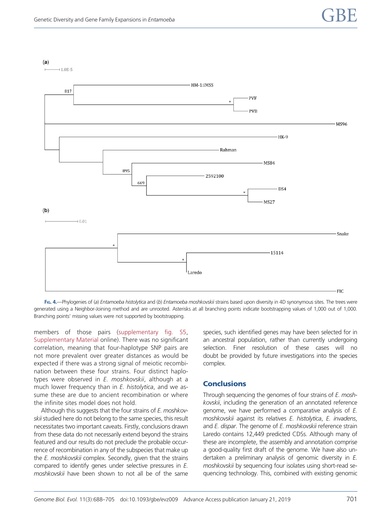<span id="page-14-0"></span>

FIG. 4.—Phylogenies of (a) Entamoeba histolytica and (b) Entamoeba moshkovskii strains based upon diversity in 4D synonymous sites. The trees were generated using a Neighbor-Joining method and are unrooted. Asterisks at all branching points indicate bootstrapping values of 1,000 out of 1,000. Branching points' missing values were not supported by bootstrapping.

members of those pairs [\(supplementary fig. S5,](https://academic.oup.com/gbe/article-lookup/doi/10.1093/gbe/evz009#supplementary-data) [Supplementary Material](https://academic.oup.com/gbe/article-lookup/doi/10.1093/gbe/evz009#supplementary-data) online). There was no significant correlation, meaning that four-haplotype SNP pairs are not more prevalent over greater distances as would be expected if there was a strong signal of meiotic recombination between these four strains. Four distinct haplotypes were observed in E. moshkovskii, although at a much lower frequency than in E. histolytica, and we assume these are due to ancient recombination or where the infinite sites model does not hold.

Although this suggests that the four strains of E. moshkovskii studied here do not belong to the same species, this result necessitates two important caveats. Firstly, conclusions drawn from these data do not necessarily extend beyond the strains featured and our results do not preclude the probable occurrence of recombination in any of the subspecies that make up the *E. moshkovskii* complex. Secondly, given that the strains compared to identify genes under selective pressures in E. moshkovskii have been shown to not all be of the same species, such identified genes may have been selected for in an ancestral population, rather than currently undergoing selection. Finer resolution of these cases will no doubt be provided by future investigations into the species complex.

## **Conclusions**

Through sequencing the genomes of four strains of E. moshkovskii, including the generation of an annotated reference genome, we have performed a comparative analysis of E. moshkovskii against its relatives E. histolytica, E. invadens, and E. dispar. The genome of E. moshkovskij reference strain Laredo contains 12,449 predicted CDSs. Although many of these are incomplete, the assembly and annotation comprise a good-quality first draft of the genome. We have also undertaken a preliminary analysis of genomic diversity in E. moshkovskii by sequencing four isolates using short-read sequencing technology. This, combined with existing genomic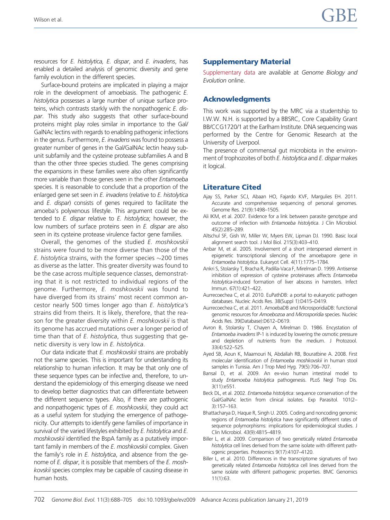<span id="page-15-0"></span>resources for E. histolytica, E. dispar, and E. invadens, has enabled a detailed analysis of genomic diversity and gene family evolution in the different species.

Surface-bound proteins are implicated in playing a major role in the development of amoebiasis. The pathogenic E. histolytica possesses a large number of unique surface proteins, which contrasts starkly with the nonpathogenic E. dispar. This study also suggests that other surface-bound proteins might play roles similar in importance to the Gal/ GalNAc lectins with regards to enabling pathogenic infections in the genus. Furthermore, E. invadens was found to possess a greater number of genes in the Gal/GalNAc lectin heavy subunit subfamily and the cysteine protease subfamilies A and B than the other three species studied. The genes comprising the expansions in these families were also often significantly more variable than those genes seen in the other Entamoeba species. It is reasonable to conclude that a proportion of the enlarged gene set seen in E. invadens (relative to E. histolytica and E. dispar) consists of genes required to facilitate the amoeba's polyxenous lifestyle. This argument could be extended to E. dispar relative to E. histolytica; however, the low numbers of surface proteins seen in E. dispar are also seen in its cysteine protease virulence factor gene families.

Overall, the genomes of the studied E. moshkovskii strains were found to be more diverse than those of the *E. histolytica s*trains, with the former species  $\sim$ 200 times as diverse as the latter. This greater diversity was found to be the case across multiple sequence classes, demonstrating that it is not restricted to individual regions of the genome. Furthermore, E. moshkovskii was found to have diverged from its strains' most recent common ancestor nearly 500 times longer ago than E. histolytica's strains did from theirs. It is likely, therefore, that the reason for the greater diversity within E. moshkovskii is that its genome has accrued mutations over a longer period of time than that of E. histolytica, thus suggesting that genetic diversity is very low in E. histolytica.

Our data indicate that E. moshkovskii strains are probably not the same species. This is important for understanding its relationship to human infection. It may be that only one of these sequence types can be infective and, therefore, to understand the epidemiology of this emerging disease we need to develop better diagnostics that can differentiate between the different sequence types. Also, if there are pathogenic and nonpathogenic types of E. moshkovskii, they could act as a useful system for studying the emergence of pathogenicity. Our attempts to identify gene families of importance in survival of the varied lifestyles exhibited by E. histolytica and E. moshkovskii identified the BspA family as a putatively important family in members of the E. moshkovskii complex. Given the family's role in E. histolytica, and absence from the genome of E. dispar, it is possible that members of the E. moshkovskii species complex may be capable of causing disease in human hosts.

## Supplementary Material

[Supplementary data](https://academic.oup.com/gbe/article-lookup/doi/10.1093/gbe/evz009#supplementary-data) are available at Genome Biology and Evolution online.

# Acknowledgments

This work was supported by the MRC via a studentship to I.W.W. N.H. is supported by a BBSRC, Core Capability Grant BB/CCG1720/1 at the Earlham Institute. DNA sequencing was performed by the Centre for Genomic Research at the University of Liverpool.

The presence of commensal gut microbiota in the environment of trophozoites of both E. histolytica and E. dispar makes it logical.

# Literature Cited

- Ajay SS, Parker SCJ, Abaan HO, Fajardo KVF, Margulies EH. 2011. Accurate and comprehensive sequencing of personal genomes. Genome Res. 21(9):1498–1505.
- Ali IKM, et al. 2007. Evidence for a link between parasite genotype and outcome of infection with Entamoeba histolytica. J Clin Microbiol. 45(2):285–289.
- Altschul SF, Gish W, Miller W, Myers EW, Lipman DJ. 1990. Basic local alignment search tool. J Mol Biol. 215(3):403–410.
- Anbar M, et al. 2005. Involvement of a short interspersed element in epigenetic transcriptional silencing of the amoebapore gene in Entamoeba histolytica. Eukaryot Cell. 4(11):1775–1784.
- Ankri S, Stolarsky T, Bracha R, Padilla-Vaca F, Mirelman D. 1999. Antisense inhibition of expression of cysteine proteinases affects Entamoeba histolytica-induced formation of liver abscess in hamsters. Infect Immun. 67(1):421–422.
- Aurrecoechea C, et al. 2010. EuPathDB: a portal to eukaryotic pathogen databases. Nucleic Acids Res. 38(Suppl 1):D415–D419.
- Aurrecoechea C, et al. 2011. AmoebaDB and MicrosporidiaDB: functional genomic resources for Amoebozoa and Microsporidia species. Nucleic Acids Res. 39(Database):D612–D619.
- Avron B, Stolarsky T, Chayen A, Mirelman D. 1986. Encystation of Entamoeba invadens IP-1 is induced by lowering the osmotic pressure and depletion of nutrients from the medium. J Protozool. 33(4):522–525.
- Ayed SB, Aoun K, Maamouri N, Abdallah RB, Bouratbine A. 2008. First molecular identification of Entamoeba moshkovskii in human stool samples in Tunisia. Am J Trop Med Hyg. 79(5):706–707.
- Bansal D, et al. 2009. An ex-vivo human intestinal model to study Entamoeba histolytica pathogenesis. PLoS Negl Trop Dis. 3(11):e551.
- Beck DL, et al. 2002. Entamoeba histolytica: sequence conservation of the Gal/GalNAc lectin from clinical isolates. Exp Parasitol. 101(2– 3):157–163.
- Bhattacharya D, Haque R, Singh U. 2005. Coding and noncoding genomic regions of Entamoeba histolytica have significantly different rates of sequence polymorphisms: implications for epidemiological studies. J Clin Microbiol. 43(9):4815–4819.
- Biller L, et al. 2009. Comparison of two genetically related Entamoeba histolytica cell lines derived from the same isolate with different pathogenic properties. Proteomics 9(17):4107–4120.
- Biller L, et al. 2010. Differences in the transcriptome signatures of two genetically related Entamoeba histolytica cell lines derived from the same isolate with different pathogenic properties. BMC Genomics 11(1):63.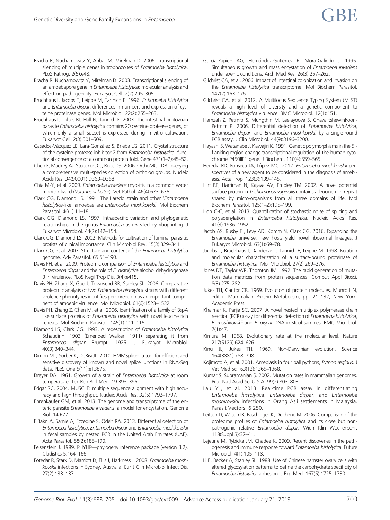- <span id="page-16-0"></span>Bracha R, Nuchamowitz Y, Anbar M, Mirelman D. 2006. Transcriptional silencing of multiple genes in trophozoites of Entamoeba histolytica. PLoS Pathog. 2(5):e48.
- Bracha R, Nuchamowitz Y, Mirelman D. 2003. Transcriptional silencing of an amoebapore gene in Entamoeba histolytica: molecular analysis and effect on pathogenicity. Eukaryot Cell. 2(2):295–305.
- Bruchhaus I, Jacobs T, Leippe M, Tannich E. 1996. Entamoeba histolytica and Entamoeba dispar: differences in numbers and expression of cysteine proteinase genes. Mol Microbiol. 22(2):255–263.
- Bruchhaus I, Loftus BJ, Hall N, Tannich E. 2003. The intestinal protozoan parasite Entamoeba histolytica contains 20 cysteine protease genes, of which only a small subset is expressed during in vitro cultivation. Eukaryot Cell. 2(3):501–509.
- Casados-Vázquez LE, Lara-González S, Brieba LG. 2011. Crystal structure of the cysteine protease inhibitor 2 from Entamoeba histolytica: functional convergence of a common protein fold. Gene 471(1–2):45–52.
- Chen F, Mackey AJ, Stoeckert CJ, Roos DS. 2006. OrthoMCL-DB: querying a comprehensive multi-species collection of ortholog groups. Nucleic Acids Res. 34(90001):D363–D368.
- Chia M-Y, et al. 2009. Entamoeba invadens myositis in a common water monitor lizard (Varanus salvator). Vet Pathol. 46(4):673–676.
- Clark CG, Diamond LS. 1991. The Laredo strain and other 'Entamoeba histolytica-like' amoebae are Entamoeba moshkovskii. Mol Biochem Parasitol. 46(1):11–18.
- Clark CG, Diamond LS. 1997. Intraspecific variation and phylogenetic relationships in the genus Entamoeba as revealed by riboprinting. J Eukaryot Microbiol. 44(2):142–154.
- Clark CG, Diamond LS. 2002. Methods for cultivation of luminal parasitic protists of clinical importance. Clin Microbiol Rev. 15(3):329–341.
- Clark CG, et al. 2007. Structure and content of the Entamoeba histolytica genome. Adv Parasitol. 65:51–190.
- Davis PH, et al. 2009. Proteomic comparison of Entamoeba histolytica and Entamoeba dispar and the role of E. histolytica alcohol dehydrogenase 3 in virulence. PLoS Negl Trop Dis. 3(4):e415.
- Davis PH, Zhang X, Guo J, Townsend RR, Stanley SL. 2006. Comparative proteomic analysis of two Entamoeba histolytica strains with different virulence phenotypes identifies peroxiredoxin as an important component of amoebic virulence. Mol Microbiol. 61(6):1523–1532.
- Davis PH, Zhang Z, Chen M, et al. 2006. Identification of a family of BspA like surface proteins of Entamoeba histolytica with novel leucine rich repeats. Mol Biochem Parasitol. 145(1):111–116.
- Diamond LS, Clark CG. 1993. A redescription of Entamoeba histolytica Schaudinn, 1903 (Emended Walker, 1911) separating it from Entamoeba dispar Brumpt, 1925. J Eukaryot Microbiol. 40(3):340–344.
- Dimon MT, Sorber K, DeRisi JL. 2010. HMMSplicer: a tool for efficient and sensitive discovery of known and novel splice junctions in RNA-Seq data. PLoS One 5(11):e13875.
- Dreyer DA. 1961. Growth of a strain of Entamoeba histolytica at room temperature. Tex Rep Biol Med. 19:393–396.
- Edgar RC. 2004. MUSCLE: multiple sequence alignment with high accuracy and high throughput. Nucleic Acids Res. 32(5):1792–1797.
- Ehrenkaufer GM, et al. 2013. The genome and transcriptome of the enteric parasite Entamoeba invadens, a model for encystation. Genome Biol. 14:R77.
- ElBakri A, Samie A, Ezzedine S, Odeh RA. 2013. Differential detection of Entamoeba histolytica, Entamoeba dispar and Entamoeba moshkovskii in fecal samples by nested PCR in the United Arab Emirates (UAE). Acta Parasitol. 58(2):185–190.
- Felsenstein J. 1989. PHYLIP—phylogeny inference package (version 3.2). Cladistics 5:164–166.
- Fotedar R, Stark D, Marriott D, Ellis J, Harkness J. 2008. Entamoeba moshkovskii infections in Sydney, Australia. Eur J Clin Microbiol Infect Dis. 27(2):133–137.
- García-Zapién AG, Hernández-Gutiérrez R, Mora-Galindo J. 1995. Simultaneous growth and mass encystation of Entamoeba invadens under axenic conditions. Arch Med Res. 26(3):257–262.
- Gilchrist CA, et al. 2006. Impact of intestinal colonization and invasion on the Entamoeba histolytica transcriptome. Mol Biochem Parasitol. 147(2):163–176.
- Gilchrist CA, et al. 2012. A Multilocus Sequence Typing System (MLST) reveals a high level of diversity and a genetic component to Entamoeba histolytica virulence. BMC Microbiol. 12(1):151.
- Hamzah Z, Petmitr S, Mungthin M, Leelayoova S, Chavalitshewinkoon-Petmitr P. 2006. Differential detection of Entamoeba histolytica, Entamoeba dispar, and Entamoeba moshkovskii by a single-round PCR assay. J Clin Microbiol. 44(9):3196–3200.
- Hayashi S, Watanabe J, Kawajiri K. 1991. Genetic polymorphisms in the 5' flanking region change transcriptional regulation of the human cytochrome P450IIE1 gene. J Biochem. 110(4):559–565.
- Heredia RD, Fonseca JA, López MC. 2012. Entamoeba moshkovskii perspectives of a new agent to be considered in the diagnosis of amebiasis. Acta Trop. 123(3):139–145.
- Hirt RP, Harriman N, Kajava AV, Embley TM. 2002. A novel potential surface protein in Trichomonas vaginalis contains a leucine-rich repeat shared by micro-organisms from all three domains of life. Mol Biochem Parasitol. 125(1–2):195–199.
- Hon C-C, et al. 2013. Quantification of stochastic noise of splicing and polyadenylation in Entamoeba histolytica. Nucleic Acids Res. 41(3):1936–1952.
- Jacob AS, Busby EJ, Levy AD, Komm N, Clark CG. 2016. Expanding the Entamoeba universe: new hosts yield novel ribosomal lineages. J Eukaryot Microbiol. 63(1):69–78.
- Jacobs T, Bruchhaus I, Dandekar T, Tannich E, Leippe M. 1998. Isolation and molecular characterization of a surface-bound proteinase of Entamoeba histolytica. Mol Microbiol. 27(2):269–276.
- Jones DT, Taylor WR, Thornton JM. 1992. The rapid generation of mutation data matrices from protein sequences. Comput Appl Biosci. 8(3):275–282.
- Jukes TH, Cantor CR. 1969. Evolution of protein molecules. Munro HN, editor. Mammalian Protein Metabolism, pp. 21–132, New York: Academic Press.
- Khairnar K, Parija SC. 2007. A novel nested multiplex polymerase chain reaction (PCR) assay for differential detection of Entamoeba histolytica, E. moshkovskii and E. dispar DNA in stool samples. BMC Microbiol. 7(1):47.
- Kimura M. 1968. Evolutionary rate at the molecular level. Nature 217(5129):624–626.
- King JL, Jukes TH. 1969. Non-Darwinian evolution. Science 164(3881):788–798.
- Kojimoto A, et al. 2001. Amebiasis in four ball pythons, Python reginus. J Vet Med Sci. 63(12):1365–1368.
- Kumar S, Subramanian S. 2002. Mutation rates in mammalian genomes. Proc Natl Acad Sci U S A. 99(2):803–808.
- Lau YL, et al. 2013. Real-time PCR assay in differentiating Entamoeba histolytica, Entamoeba dispar, and Entamoeba moshkovskii infections in Orang Asli settlements in Malaysia. Parasit Vectors. 6:250.
- Leitsch D, Wilson IB, Paschinger K, Duchêne M. 2006. Comparison of the proteome profiles of Entamoeba histolytica and its close but nonpathogenic relative Entamoeba dispar. Wien Klin Wochenschr. 118(Suppl 3):37–41.
- Lejeune M, Rybicka JM, Chadee K. 2009. Recent discoveries in the pathogenesis and immune response toward Entamoeba histolytica. Future Microbiol. 4(1):105–118.
- Li E, Becker A, Stanley SL. 1988. Use of Chinese hamster ovary cells with altered glycosylation patterns to define the carbohydrate specificity of Entamoeba histolytica adhesion. J Exp Med. 167(5):1725–1730.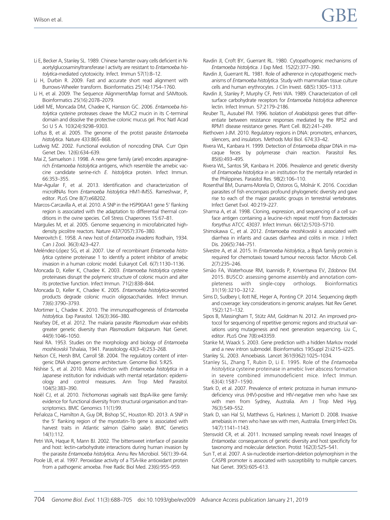- <span id="page-17-0"></span>Li E, Becker A, Stanley SL. 1989. Chinese hamster ovary cells deficient in Nacetylglucosaminyltransferase I activity are resistant to Entamoeba histolytica-mediated cytotoxicity. Infect. Immun 57(1):8–12.
- Li H, Durbin R. 2009. Fast and accurate short read alignment with Burrows-Wheeler transform. Bioinformatics 25(14):1754–1760.
- Li H, et al. 2009. The Sequence Alignment/Map format and SAMtools. Bioinformatics 25(16):2078–2079.
- Lidell ME, Moncada DM, Chadee K, Hansson GC. 2006. Entamoeba histolytica cysteine proteases cleave the MUC2 mucin in its C-terminal domain and dissolve the protective colonic mucus gel. Proc Natl Acad Sci U S A. 103(24):9298–9303.
- Loftus B, et al. 2005. The genome of the protist parasite Entamoeba histolytica. Nature 433:865–868.
- Ludwig MZ. 2002. Functional evolution of noncoding DNA. Curr Opin Genet Dev. 12(6):634–639.
- Mai Z, Samuelson J. 1998. A new gene family (ariel) encodes asparaginerich Entamoeba histolytica antigens, which resemble the amebic vaccine candidate serine-rich E. histolytica protein. Infect Immun. 66:353–355.
- Mar-Aguilar F, et al. 2013. Identification and characterization of microRNAs from Entamoeba histolytica HM1-IMSS. Rameshwar, P, editor. PLoS One 8(7):e68202.
- Marcos-Carcavilla A, et al. 2010. A SNP in the HSP90AA1 gene 5' flanking region is associated with the adaptation to differential thermal conditions in the ovine species. Cell Stress Chaperones 15:67–81.
- Margulies M, et al. 2005. Genome sequencing in microfabricated highdensity picolitre reactors. Nature 437(7057):376–380.
- Meerovitch E. 1958. A new host of Entamoeba invadens Rodhain, 1934. Can J Zool. 36(3):423–427.
- Meléndez-López SG, et al. 2007. Use of recombinant Entamoeba histolytica cysteine proteinase 1 to identify a potent inhibitor of amebic invasion in a human colonic model. Eukaryot Cell. 6(7):1130–1136.
- Moncada D, Keller K, Chadee K. 2003. Entamoeba histolytica cysteine proteinases disrupt the polymeric structure of colonic mucin and alter its protective function. Infect Immun. 71(2):838–844.
- Moncada D, Keller K, Chadee K. 2005. Entamoeba histolytica-secreted products degrade colonic mucin oligosaccharides. Infect Immun. 73(6):3790–3793.
- Mortimer L, Chadee K. 2010. The immunopathogenesis of Entamoeba histolytica. Exp Parasitol. 126(3):366–380.
- Neafsey DE, et al. 2012. The malaria parasite Plasmodium vivax exhibits greater genetic diversity than Plasmodium falciparum. Nat Genet. 44(9):1046–1050.
- Neal RA. 1953. Studies on the morphology and biology of Entamoeba moshkovskii Tshalaia, 1941. Parasitology 43(3–4):253–268.
- Nelson CE, Hersh BM, Carroll SB. 2004. The regulatory content of intergenic DNA shapes genome architecture. Genome Biol. 5:R25.
- Nishise S, et al. 2010. Mass infection with Entamoeba histolytica in a Japanese institution for individuals with mental retardation: epidemiology and control measures. Ann Trop Med Parasitol. 104(5):383–390.
- Noël CJ, et al. 2010. Trichomonas vaginalis vast BspA-like gene family: evidence for functional diversity from structural organisation and transcriptomics. BMC Genomics 11(1):99.
- Peñaloza C, Hamilton A, Guy DR, Bishop SC, Houston RD. 2013. A SNP in the 5' flanking region of the myostatin-1b gene is associated with harvest traits in Atlantic salmon (Salmo salar). BMC Genetics 14(1):112.
- Petri WA, Haque R, Mann BJ. 2002. The bittersweet interface of parasite and host: lectin-carbohydrate interactions during human invasion by the parasite Entamoeba histolytica. Annu Rev Microbiol. 56(1):39–64.
- Poole LB, et al. 1997. Peroxidase activity of a TSA-like antioxidant protein from a pathogenic amoeba. Free Radic Biol Med. 23(6):955–959.
- Ravdin JI, Croft BY, Guerrant RL. 1980. Cytopathogenic mechanisms of Entamoeba histolytica. J Exp Med. 152(2):377–390.
- Ravdin JI, Guerrant RL. 1981. Role of adherence in cytopathogenic mechanisms of Entamoeba histolytica. Study with mammalian tissue culture cells and human erythrocytes. J Clin Invest. 68(5):1305–1313.
- Ravdin JI, Stanley P, Murphy CF, Petri WA. 1989. Characterization of cell surface carbohydrate receptors for Entamoeba histolytica adherence lectin. Infect Immun. 57:2179–2186.
- Reuber TL, Ausubel FM. 1996. Isolation of Arabidopsis genes that differentiate between resistance responses mediated by the RPS2 and RPM1 disease resistance genes. Plant Cell. 8(2):241–249.
- Riethoven J-JM. 2010. Regulatory regions in DNA: promoters, enhancers, silencers, and insulators. Methods Mol Biol. 674:33–42.
- Rivera WL, Kanbara H. 1999. Detection of Entamoeba dispar DNA in macaque feces by polymerase chain reaction. Parasitol Res. 85(6):493–495.
- Rivera WL, Santos SR, Kanbara H. 2006. Prevalence and genetic diversity of Entamoeba histolytica in an institution for the mentally retarded in the Philippines. Parasitol Res. 98(2):106–110.
- Rosenthal BM, Dunams-Morela D, Ostoros G, Molnár K. 2016. Coccidian parasites of fish encompass profound phylogenetic diversity and gave rise to each of the major parasitic groups in terrestrial vertebrates. Infect Genet Evol. 40:219–227.
- Sharma A, et al. 1998. Cloning, expression, and sequencing of a cell surface antigen containing a leucine-rich repeat motif from Bacteroides forsythus ATCC 43037. Infect Immun. 66(12):5703–5710.
- Shimokawa C, et al. 2012. Entamoeba moshkovskii is associated with diarrhea in infants and causes diarrhea and colitis in mice. J Infect Dis. 206(5):744–751.
- Silvestre A, et al. 2015. In Entamoeba histolytica, a BspA family protein is required for chemotaxis toward tumour necrosis factor. Microb Cell. 2(7):235–246.
- Simão FA, Waterhouse RM, Ioannidis P, Kriventseva EV, Zdobnov EM, 2015. BUSCO: assessing genome assembly and annotation completeness with single-copy orthologs. Bioinformatics 31(19):3210–3212.
- Sims D, Sudbery I, Ilott NE, Heger A, Ponting CP. 2014. Sequencing depth and coverage: key considerations in genomic analyses. Nat Rev Genet. 15(2):121–132.
- Sipos B, Massingham T, Stütz AM, Goldman N. 2012. An improved protocol for sequencing of repetitive genomic regions and structural variations using mutagenesis and next generation sequencing. Liu C, editor. PLoS One 7(8):e43359.
- Stanke M, Waack S. 2003. Gene prediction with a hidden Markov model and a new intron submodel. Bioinformatics 19(Suppl 2):ii215–ii225.
- Stanley SL. 2003. Amoebiasis. Lancet 361(9362):1025–1034.
- Stanley SL, Zhang T, Rubin D, Li E. 1995. Role of the Entamoeba histolytica cysteine proteinase in amebic liver abscess formation in severe combined immunodeficient mice. Infect Immun. 63(4):1587–1590.
- Stark D, et al. 2007. Prevalence of enteric protozoa in human immunodeficiency virus (HIV)-positive and HIV-negative men who have sex with men from Sydney, Australia. Am J Trop Med Hyg. 76(3):549–552.
- Stark D, van Hal SJ, Matthews G, Harkness J, Marriott D. 2008. Invasive amebiasis in men who have sex with men, Australia. Emerg Infect Dis. 14(7):1141–1143.
- Stensvold CR, et al. 2011. Increased sampling reveals novel lineages of Entamoeba: consequences of genetic diversity and host specificity for taxonomy and molecular detection. Protist 162(3):525–541.
- Sun T, et al. 2007. A six-nucleotide insertion-deletion polymorphism in the CASP8 promoter is associated with susceptibility to multiple cancers. Nat Genet. 39(5):605–613.